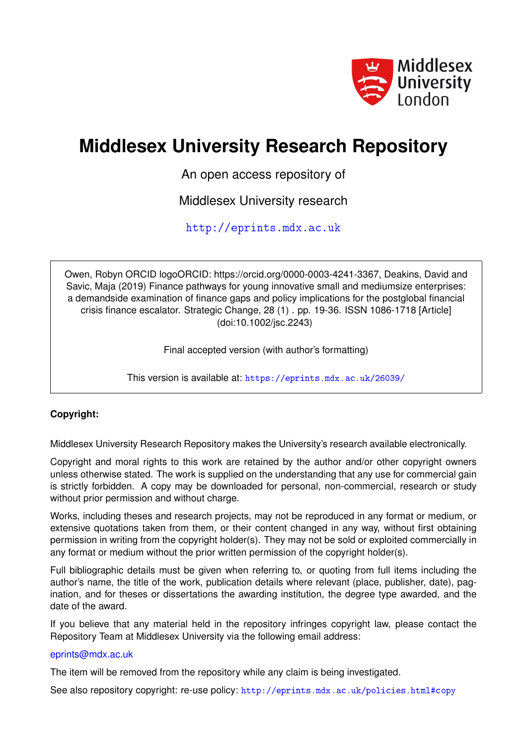

# **Middlesex University Research Repository**

An open access repository of

Middlesex University research

<http://eprints.mdx.ac.uk>

Owen, Robyn ORCID logoORCID: https://orcid.org/0000-0003-4241-3367, Deakins, David and Savic, Maja (2019) Finance pathways for young innovative small and mediumsize enterprises: a demandside examination of finance gaps and policy implications for the postglobal financial crisis finance escalator. Strategic Change, 28 (1) . pp. 19-36. ISSN 1086-1718 [Article] (doi:10.1002/jsc.2243)

Final accepted version (with author's formatting)

This version is available at: <https://eprints.mdx.ac.uk/26039/>

## **Copyright:**

Middlesex University Research Repository makes the University's research available electronically.

Copyright and moral rights to this work are retained by the author and/or other copyright owners unless otherwise stated. The work is supplied on the understanding that any use for commercial gain is strictly forbidden. A copy may be downloaded for personal, non-commercial, research or study without prior permission and without charge.

Works, including theses and research projects, may not be reproduced in any format or medium, or extensive quotations taken from them, or their content changed in any way, without first obtaining permission in writing from the copyright holder(s). They may not be sold or exploited commercially in any format or medium without the prior written permission of the copyright holder(s).

Full bibliographic details must be given when referring to, or quoting from full items including the author's name, the title of the work, publication details where relevant (place, publisher, date), pagination, and for theses or dissertations the awarding institution, the degree type awarded, and the date of the award.

If you believe that any material held in the repository infringes copyright law, please contact the Repository Team at Middlesex University via the following email address:

## [eprints@mdx.ac.uk](mailto:eprints@mdx.ac.uk)

The item will be removed from the repository while any claim is being investigated.

See also repository copyright: re-use policy: <http://eprints.mdx.ac.uk/policies.html#copy>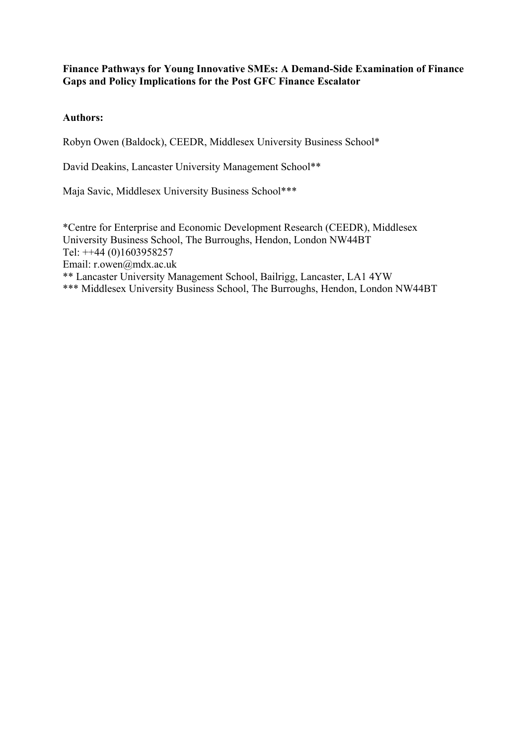## **Finance Pathways for Young Innovative SMEs: A Demand-Side Examination of Finance Gaps and Policy Implications for the Post GFC Finance Escalator**

## **Authors:**

Robyn Owen (Baldock), CEEDR, Middlesex University Business School\*

David Deakins, Lancaster University Management School\*\*

Maja Savic, Middlesex University Business School\*\*\*

\*Centre for Enterprise and Economic Development Research (CEEDR), Middlesex University Business School, The Burroughs, Hendon, London NW44BT Tel: ++44 (0)1603958257 Email: r.owen@mdx.ac.uk \*\* Lancaster University Management School, Bailrigg, Lancaster, LA1 4YW \*\*\* Middlesex University Business School, The Burroughs, Hendon, London NW44BT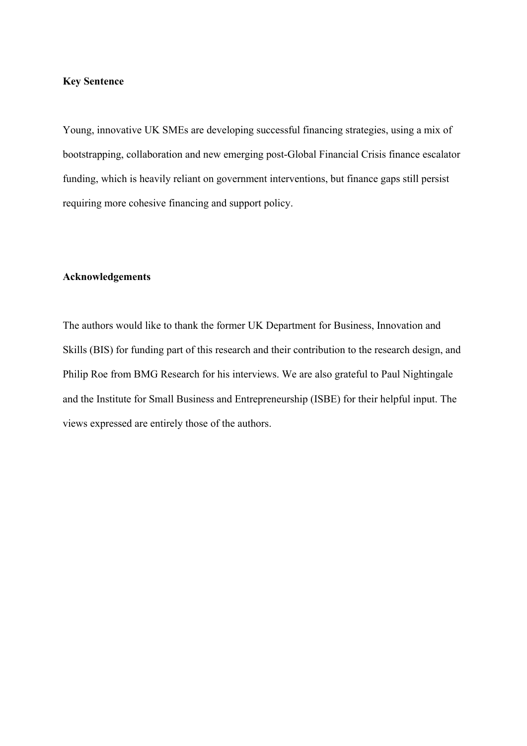## **Key Sentence**

Young, innovative UK SMEs are developing successful financing strategies, using a mix of bootstrapping, collaboration and new emerging post-Global Financial Crisis finance escalator funding, which is heavily reliant on government interventions, but finance gaps still persist requiring more cohesive financing and support policy.

## **Acknowledgements**

The authors would like to thank the former UK Department for Business, Innovation and Skills (BIS) for funding part of this research and their contribution to the research design, and Philip Roe from BMG Research for his interviews. We are also grateful to Paul Nightingale and the Institute for Small Business and Entrepreneurship (ISBE) for their helpful input. The views expressed are entirely those of the authors.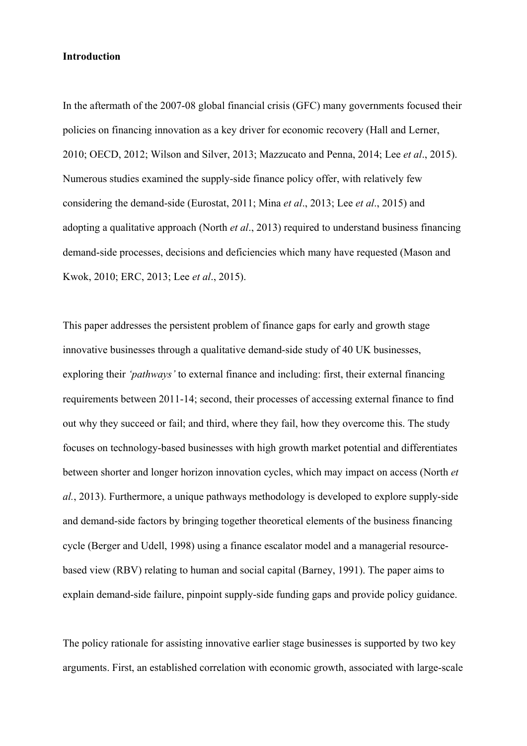#### **Introduction**

In the aftermath of the 2007-08 global financial crisis (GFC) many governments focused their policies on financing innovation as a key driver for economic recovery (Hall and Lerner, 2010; OECD, 2012; Wilson and Silver, 2013; Mazzucato and Penna, 2014; Lee *et al*., 2015). Numerous studies examined the supply-side finance policy offer, with relatively few considering the demand-side (Eurostat, 2011; Mina *et al*., 2013; Lee *et al*., 2015) and adopting a qualitative approach (North *et al*., 2013) required to understand business financing demand-side processes, decisions and deficiencies which many have requested (Mason and Kwok, 2010; ERC, 2013; Lee *et al*., 2015).

This paper addresses the persistent problem of finance gaps for early and growth stage innovative businesses through a qualitative demand-side study of 40 UK businesses, exploring their *'pathways'* to external finance and including: first, their external financing requirements between 2011-14; second, their processes of accessing external finance to find out why they succeed or fail; and third, where they fail, how they overcome this. The study focuses on technology-based businesses with high growth market potential and differentiates between shorter and longer horizon innovation cycles, which may impact on access (North *et al.*, 2013). Furthermore, a unique pathways methodology is developed to explore supply-side and demand-side factors by bringing together theoretical elements of the business financing cycle (Berger and Udell, 1998) using a finance escalator model and a managerial resourcebased view (RBV) relating to human and social capital (Barney, 1991). The paper aims to explain demand-side failure, pinpoint supply-side funding gaps and provide policy guidance.

The policy rationale for assisting innovative earlier stage businesses is supported by two key arguments. First, an established correlation with economic growth, associated with large-scale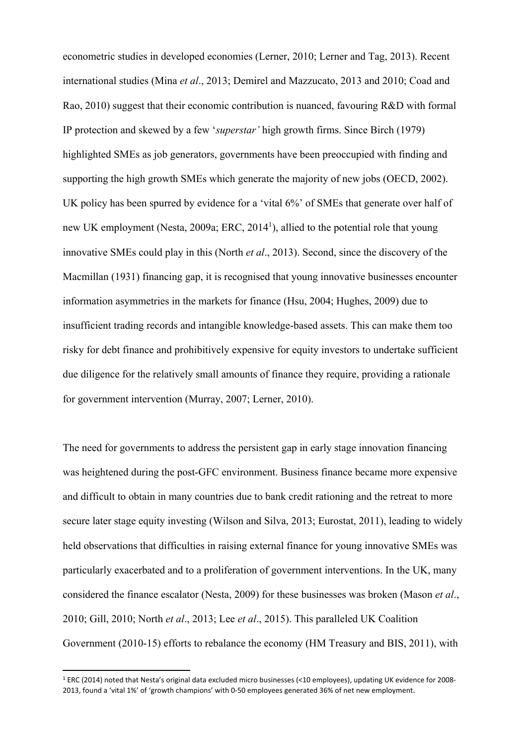econometric studies in developed economies (Lerner, 2010; Lerner and Tag, 2013). Recent international studies (Mina *et al*., 2013; Demirel and Mazzucato, 2013 and 2010; Coad and Rao, 2010) suggest that their economic contribution is nuanced, favouring R&D with formal IP protection and skewed by a few '*superstar'* high growth firms. Since Birch (1979) highlighted SMEs as job generators, governments have been preoccupied with finding and supporting the high growth SMEs which generate the majority of new jobs (OECD, 2002). UK policy has been spurred by evidence for a 'vital 6%' of SMEs that generate over half of new UK employment (Nesta, 2009a; ERC, 2014<sup>1</sup>), allied to the potential role that young innovative SMEs could play in this (North *et al*., 2013). Second, since the discovery of the Macmillan (1931) financing gap, it is recognised that young innovative businesses encounter information asymmetries in the markets for finance (Hsu, 2004; Hughes, 2009) due to insufficient trading records and intangible knowledge-based assets. This can make them too risky for debt finance and prohibitively expensive for equity investors to undertake sufficient due diligence for the relatively small amounts of finance they require, providing a rationale for government intervention (Murray, 2007; Lerner, 2010).

The need for governments to address the persistent gap in early stage innovation financing was heightened during the post-GFC environment. Business finance became more expensive and difficult to obtain in many countries due to bank credit rationing and the retreat to more secure later stage equity investing (Wilson and Silva, 2013; Eurostat, 2011), leading to widely held observations that difficulties in raising external finance for young innovative SMEs was particularly exacerbated and to a proliferation of government interventions. In the UK, many considered the finance escalator (Nesta, 2009) for these businesses was broken (Mason *et al*., 2010; Gill, 2010; North *et al*., 2013; Lee *et al*., 2015). This paralleled UK Coalition Government (2010-15) efforts to rebalance the economy (HM Treasury and BIS, 2011), with

<sup>1</sup> ERC (2014) noted that Nesta's original data excluded micro businesses (<10 employees), updating UK evidence for 2008‐ 2013, found a 'vital 1%' of 'growth champions' with 0‐50 employees generated 36% of net new employment.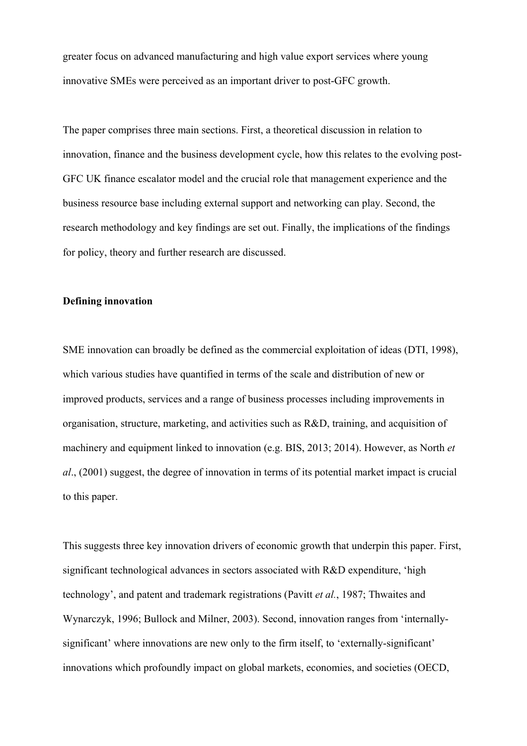greater focus on advanced manufacturing and high value export services where young innovative SMEs were perceived as an important driver to post-GFC growth.

The paper comprises three main sections. First, a theoretical discussion in relation to innovation, finance and the business development cycle, how this relates to the evolving post-GFC UK finance escalator model and the crucial role that management experience and the business resource base including external support and networking can play. Second, the research methodology and key findings are set out. Finally, the implications of the findings for policy, theory and further research are discussed.

### **Defining innovation**

SME innovation can broadly be defined as the commercial exploitation of ideas (DTI, 1998), which various studies have quantified in terms of the scale and distribution of new or improved products, services and a range of business processes including improvements in organisation, structure, marketing, and activities such as R&D, training, and acquisition of machinery and equipment linked to innovation (e.g. BIS, 2013; 2014). However, as North *et al*., (2001) suggest, the degree of innovation in terms of its potential market impact is crucial to this paper.

This suggests three key innovation drivers of economic growth that underpin this paper. First, significant technological advances in sectors associated with R&D expenditure, 'high technology', and patent and trademark registrations (Pavitt *et al.*, 1987; Thwaites and Wynarczyk, 1996; Bullock and Milner, 2003). Second, innovation ranges from 'internallysignificant' where innovations are new only to the firm itself, to 'externally-significant' innovations which profoundly impact on global markets, economies, and societies (OECD,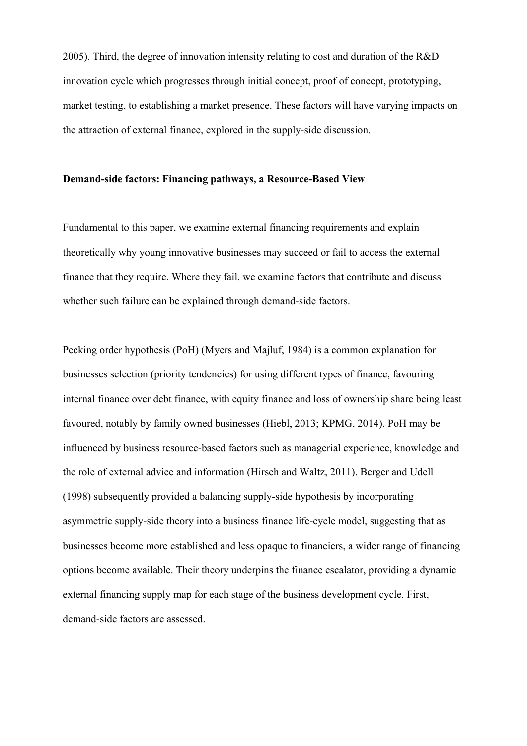2005). Third, the degree of innovation intensity relating to cost and duration of the R&D innovation cycle which progresses through initial concept, proof of concept, prototyping, market testing, to establishing a market presence. These factors will have varying impacts on the attraction of external finance, explored in the supply-side discussion.

### **Demand-side factors: Financing pathways, a Resource-Based View**

Fundamental to this paper, we examine external financing requirements and explain theoretically why young innovative businesses may succeed or fail to access the external finance that they require. Where they fail, we examine factors that contribute and discuss whether such failure can be explained through demand-side factors.

Pecking order hypothesis (PoH) (Myers and Majluf, 1984) is a common explanation for businesses selection (priority tendencies) for using different types of finance, favouring internal finance over debt finance, with equity finance and loss of ownership share being least favoured, notably by family owned businesses (Hiebl, 2013; KPMG, 2014). PoH may be influenced by business resource-based factors such as managerial experience, knowledge and the role of external advice and information (Hirsch and Waltz, 2011). Berger and Udell (1998) subsequently provided a balancing supply-side hypothesis by incorporating asymmetric supply-side theory into a business finance life-cycle model, suggesting that as businesses become more established and less opaque to financiers, a wider range of financing options become available. Their theory underpins the finance escalator, providing a dynamic external financing supply map for each stage of the business development cycle. First, demand-side factors are assessed.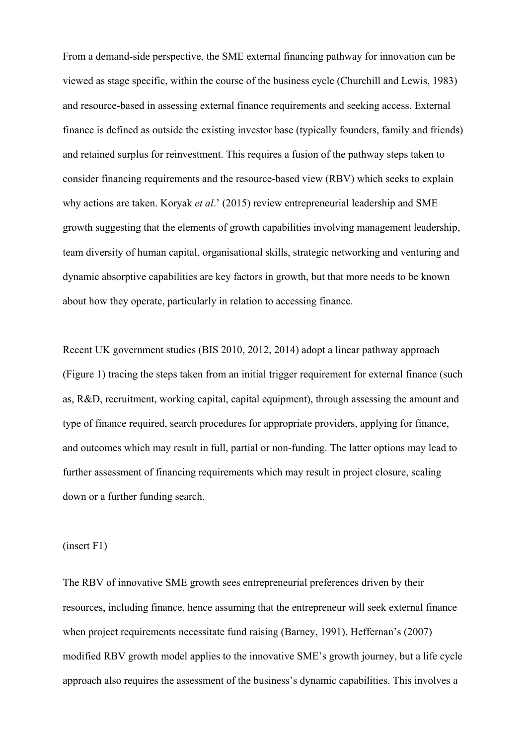From a demand-side perspective, the SME external financing pathway for innovation can be viewed as stage specific, within the course of the business cycle (Churchill and Lewis, 1983) and resource-based in assessing external finance requirements and seeking access. External finance is defined as outside the existing investor base (typically founders, family and friends) and retained surplus for reinvestment. This requires a fusion of the pathway steps taken to consider financing requirements and the resource-based view (RBV) which seeks to explain why actions are taken. Koryak *et al*.' (2015) review entrepreneurial leadership and SME growth suggesting that the elements of growth capabilities involving management leadership, team diversity of human capital, organisational skills, strategic networking and venturing and dynamic absorptive capabilities are key factors in growth, but that more needs to be known about how they operate, particularly in relation to accessing finance.

Recent UK government studies (BIS 2010, 2012, 2014) adopt a linear pathway approach (Figure 1) tracing the steps taken from an initial trigger requirement for external finance (such as, R&D, recruitment, working capital, capital equipment), through assessing the amount and type of finance required, search procedures for appropriate providers, applying for finance, and outcomes which may result in full, partial or non-funding. The latter options may lead to further assessment of financing requirements which may result in project closure, scaling down or a further funding search.

(insert F1)

The RBV of innovative SME growth sees entrepreneurial preferences driven by their resources, including finance, hence assuming that the entrepreneur will seek external finance when project requirements necessitate fund raising (Barney, 1991). Heffernan's (2007) modified RBV growth model applies to the innovative SME's growth journey, but a life cycle approach also requires the assessment of the business's dynamic capabilities. This involves a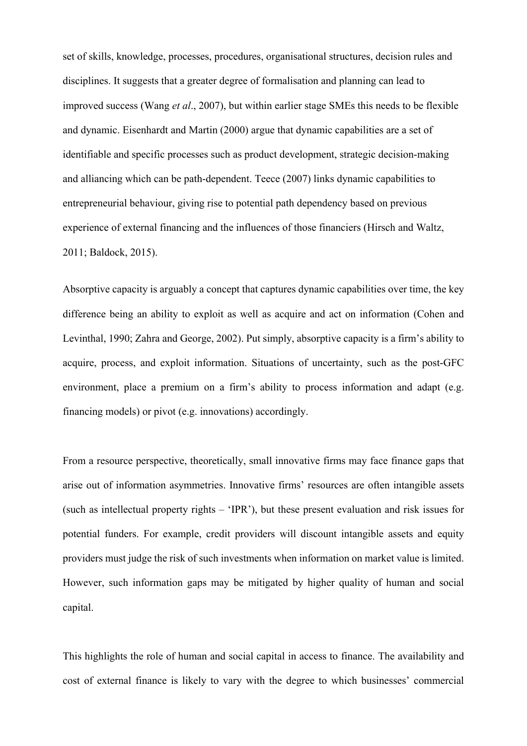set of skills, knowledge, processes, procedures, organisational structures, decision rules and disciplines. It suggests that a greater degree of formalisation and planning can lead to improved success (Wang *et al*., 2007), but within earlier stage SMEs this needs to be flexible and dynamic. Eisenhardt and Martin (2000) argue that dynamic capabilities are a set of identifiable and specific processes such as product development, strategic decision-making and alliancing which can be path-dependent. Teece (2007) links dynamic capabilities to entrepreneurial behaviour, giving rise to potential path dependency based on previous experience of external financing and the influences of those financiers (Hirsch and Waltz, 2011; Baldock, 2015).

Absorptive capacity is arguably a concept that captures dynamic capabilities over time, the key difference being an ability to exploit as well as acquire and act on information (Cohen and Levinthal, 1990; Zahra and George, 2002). Put simply, absorptive capacity is a firm's ability to acquire, process, and exploit information. Situations of uncertainty, such as the post-GFC environment, place a premium on a firm's ability to process information and adapt (e.g. financing models) or pivot (e.g. innovations) accordingly.

From a resource perspective, theoretically, small innovative firms may face finance gaps that arise out of information asymmetries. Innovative firms' resources are often intangible assets (such as intellectual property rights – 'IPR'), but these present evaluation and risk issues for potential funders. For example, credit providers will discount intangible assets and equity providers must judge the risk of such investments when information on market value is limited. However, such information gaps may be mitigated by higher quality of human and social capital.

This highlights the role of human and social capital in access to finance. The availability and cost of external finance is likely to vary with the degree to which businesses' commercial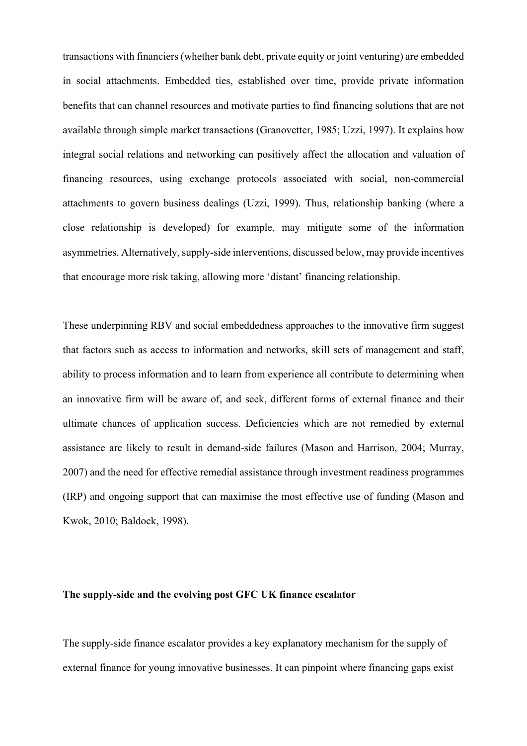transactions with financiers (whether bank debt, private equity or joint venturing) are embedded in social attachments. Embedded ties, established over time, provide private information benefits that can channel resources and motivate parties to find financing solutions that are not available through simple market transactions (Granovetter, 1985; Uzzi, 1997). It explains how integral social relations and networking can positively affect the allocation and valuation of financing resources, using exchange protocols associated with social, non-commercial attachments to govern business dealings (Uzzi, 1999). Thus, relationship banking (where a close relationship is developed) for example, may mitigate some of the information asymmetries. Alternatively, supply-side interventions, discussed below, may provide incentives that encourage more risk taking, allowing more 'distant' financing relationship.

These underpinning RBV and social embeddedness approaches to the innovative firm suggest that factors such as access to information and networks, skill sets of management and staff, ability to process information and to learn from experience all contribute to determining when an innovative firm will be aware of, and seek, different forms of external finance and their ultimate chances of application success. Deficiencies which are not remedied by external assistance are likely to result in demand-side failures (Mason and Harrison, 2004; Murray, 2007) and the need for effective remedial assistance through investment readiness programmes (IRP) and ongoing support that can maximise the most effective use of funding (Mason and Kwok, 2010; Baldock, 1998).

### **The supply-side and the evolving post GFC UK finance escalator**

The supply-side finance escalator provides a key explanatory mechanism for the supply of external finance for young innovative businesses. It can pinpoint where financing gaps exist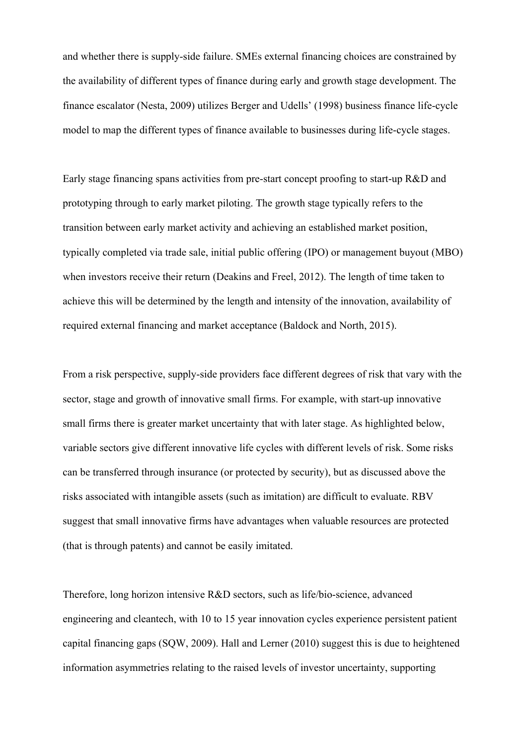and whether there is supply-side failure. SMEs external financing choices are constrained by the availability of different types of finance during early and growth stage development. The finance escalator (Nesta, 2009) utilizes Berger and Udells' (1998) business finance life-cycle model to map the different types of finance available to businesses during life-cycle stages.

Early stage financing spans activities from pre-start concept proofing to start-up R&D and prototyping through to early market piloting. The growth stage typically refers to the transition between early market activity and achieving an established market position, typically completed via trade sale, initial public offering (IPO) or management buyout (MBO) when investors receive their return (Deakins and Freel, 2012). The length of time taken to achieve this will be determined by the length and intensity of the innovation, availability of required external financing and market acceptance (Baldock and North, 2015).

From a risk perspective, supply-side providers face different degrees of risk that vary with the sector, stage and growth of innovative small firms. For example, with start-up innovative small firms there is greater market uncertainty that with later stage. As highlighted below, variable sectors give different innovative life cycles with different levels of risk. Some risks can be transferred through insurance (or protected by security), but as discussed above the risks associated with intangible assets (such as imitation) are difficult to evaluate. RBV suggest that small innovative firms have advantages when valuable resources are protected (that is through patents) and cannot be easily imitated.

Therefore, long horizon intensive R&D sectors, such as life/bio-science, advanced engineering and cleantech, with 10 to 15 year innovation cycles experience persistent patient capital financing gaps (SQW, 2009). Hall and Lerner (2010) suggest this is due to heightened information asymmetries relating to the raised levels of investor uncertainty, supporting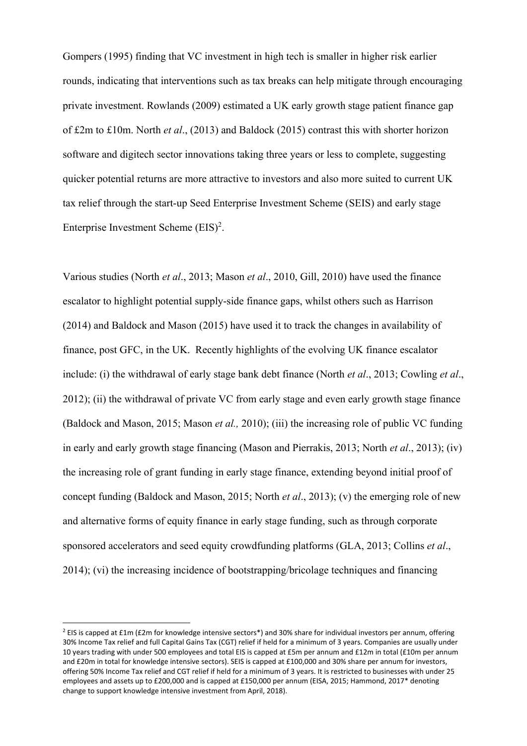Gompers (1995) finding that VC investment in high tech is smaller in higher risk earlier rounds, indicating that interventions such as tax breaks can help mitigate through encouraging private investment. Rowlands (2009) estimated a UK early growth stage patient finance gap of £2m to £10m. North *et al*., (2013) and Baldock (2015) contrast this with shorter horizon software and digitech sector innovations taking three years or less to complete, suggesting quicker potential returns are more attractive to investors and also more suited to current UK tax relief through the start-up Seed Enterprise Investment Scheme (SEIS) and early stage Enterprise Investment Scheme  $(EIS)^2$ .

Various studies (North *et al*., 2013; Mason *et al*., 2010, Gill, 2010) have used the finance escalator to highlight potential supply-side finance gaps, whilst others such as Harrison (2014) and Baldock and Mason (2015) have used it to track the changes in availability of finance, post GFC, in the UK. Recently highlights of the evolving UK finance escalator include: (i) the withdrawal of early stage bank debt finance (North *et al*., 2013; Cowling *et al*., 2012); (ii) the withdrawal of private VC from early stage and even early growth stage finance (Baldock and Mason, 2015; Mason *et al.,* 2010); (iii) the increasing role of public VC funding in early and early growth stage financing (Mason and Pierrakis, 2013; North *et al*., 2013); (iv) the increasing role of grant funding in early stage finance, extending beyond initial proof of concept funding (Baldock and Mason, 2015; North *et al*., 2013); (v) the emerging role of new and alternative forms of equity finance in early stage funding, such as through corporate sponsored accelerators and seed equity crowdfunding platforms (GLA, 2013; Collins *et al*., 2014); (vi) the increasing incidence of bootstrapping/bricolage techniques and financing

<sup>&</sup>lt;sup>2</sup> EIS is capped at £1m (£2m for knowledge intensive sectors\*) and 30% share for individual investors per annum, offering 30% Income Tax relief and full Capital Gains Tax (CGT) relief if held for a minimum of 3 years. Companies are usually under 10 years trading with under 500 employees and total EIS is capped at £5m per annum and £12m in total (£10m per annum and £20m in total for knowledge intensive sectors). SEIS is capped at £100,000 and 30% share per annum for investors, offering 50% Income Tax relief and CGT relief if held for a minimum of 3 years. It is restricted to businesses with under 25 employees and assets up to £200,000 and is capped at £150,000 per annum (EISA, 2015; Hammond, 2017\* denoting change to support knowledge intensive investment from April, 2018).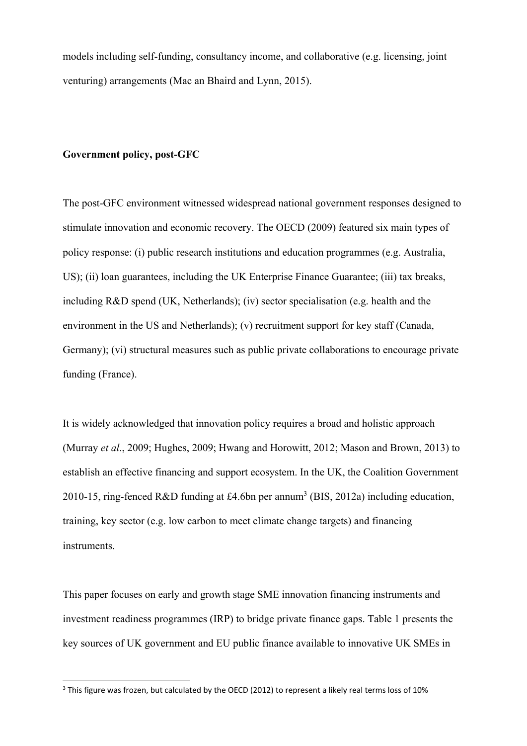models including self-funding, consultancy income, and collaborative (e.g. licensing, joint venturing) arrangements (Mac an Bhaird and Lynn, 2015).

## **Government policy, post-GFC**

The post-GFC environment witnessed widespread national government responses designed to stimulate innovation and economic recovery. The OECD (2009) featured six main types of policy response: (i) public research institutions and education programmes (e.g. Australia, US); (ii) loan guarantees, including the UK Enterprise Finance Guarantee; (iii) tax breaks, including R&D spend (UK, Netherlands); (iv) sector specialisation (e.g. health and the environment in the US and Netherlands); (v) recruitment support for key staff (Canada, Germany); (vi) structural measures such as public private collaborations to encourage private funding (France).

It is widely acknowledged that innovation policy requires a broad and holistic approach (Murray *et al*., 2009; Hughes, 2009; Hwang and Horowitt, 2012; Mason and Brown, 2013) to establish an effective financing and support ecosystem. In the UK, the Coalition Government 2010-15, ring-fenced R&D funding at £4.6bn per annum<sup>3</sup> (BIS, 2012a) including education, training, key sector (e.g. low carbon to meet climate change targets) and financing instruments.

This paper focuses on early and growth stage SME innovation financing instruments and investment readiness programmes (IRP) to bridge private finance gaps. Table 1 presents the key sources of UK government and EU public finance available to innovative UK SMEs in

<sup>&</sup>lt;sup>3</sup> This figure was frozen, but calculated by the OECD (2012) to represent a likely real terms loss of 10%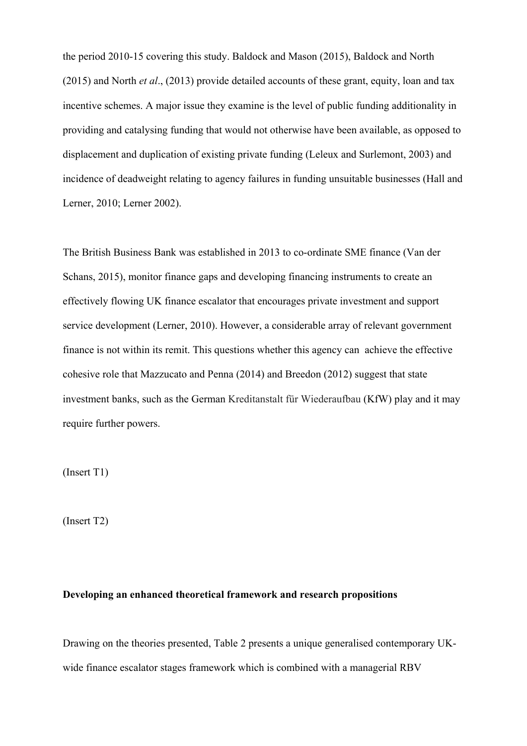the period 2010-15 covering this study. Baldock and Mason (2015), Baldock and North (2015) and North *et al*., (2013) provide detailed accounts of these grant, equity, loan and tax incentive schemes. A major issue they examine is the level of public funding additionality in providing and catalysing funding that would not otherwise have been available, as opposed to displacement and duplication of existing private funding (Leleux and Surlemont, 2003) and incidence of deadweight relating to agency failures in funding unsuitable businesses (Hall and Lerner, 2010; Lerner 2002).

The British Business Bank was established in 2013 to co-ordinate SME finance (Van der Schans, 2015), monitor finance gaps and developing financing instruments to create an effectively flowing UK finance escalator that encourages private investment and support service development (Lerner, 2010). However, a considerable array of relevant government finance is not within its remit. This questions whether this agency can achieve the effective cohesive role that Mazzucato and Penna (2014) and Breedon (2012) suggest that state investment banks, such as the German Kreditanstalt für Wiederaufbau (KfW) play and it may require further powers.

(Insert T1)

(Insert T2)

#### **Developing an enhanced theoretical framework and research propositions**

Drawing on the theories presented, Table 2 presents a unique generalised contemporary UKwide finance escalator stages framework which is combined with a managerial RBV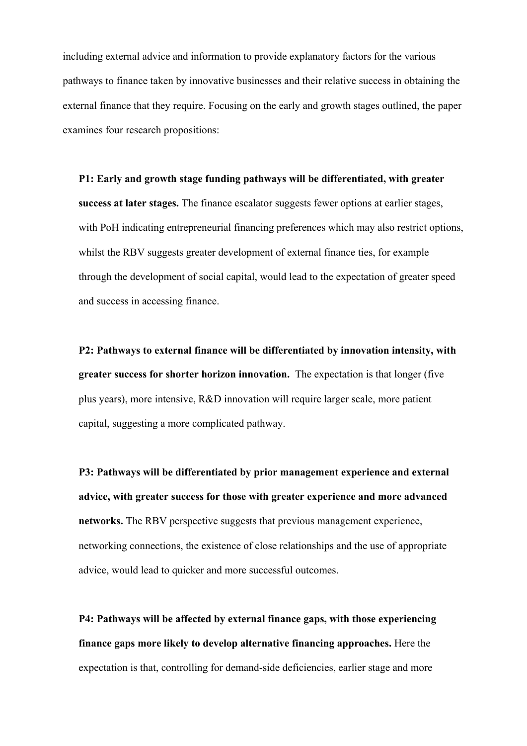including external advice and information to provide explanatory factors for the various pathways to finance taken by innovative businesses and their relative success in obtaining the external finance that they require. Focusing on the early and growth stages outlined, the paper examines four research propositions:

# **P1: Early and growth stage funding pathways will be differentiated, with greater success at later stages.** The finance escalator suggests fewer options at earlier stages, with PoH indicating entrepreneurial financing preferences which may also restrict options, whilst the RBV suggests greater development of external finance ties, for example through the development of social capital, would lead to the expectation of greater speed and success in accessing finance.

**P2: Pathways to external finance will be differentiated by innovation intensity, with greater success for shorter horizon innovation.** The expectation is that longer (five plus years), more intensive, R&D innovation will require larger scale, more patient capital, suggesting a more complicated pathway.

**P3: Pathways will be differentiated by prior management experience and external advice, with greater success for those with greater experience and more advanced networks.** The RBV perspective suggests that previous management experience, networking connections, the existence of close relationships and the use of appropriate advice, would lead to quicker and more successful outcomes.

**P4: Pathways will be affected by external finance gaps, with those experiencing finance gaps more likely to develop alternative financing approaches.** Here the expectation is that, controlling for demand-side deficiencies, earlier stage and more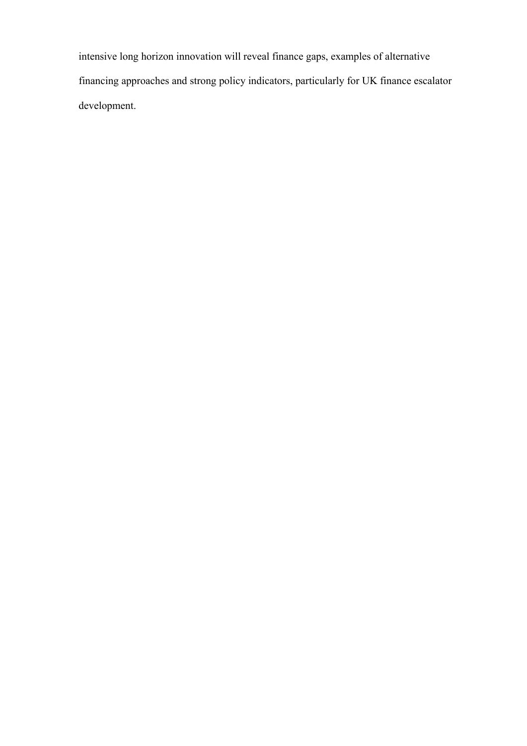intensive long horizon innovation will reveal finance gaps, examples of alternative financing approaches and strong policy indicators, particularly for UK finance escalator development.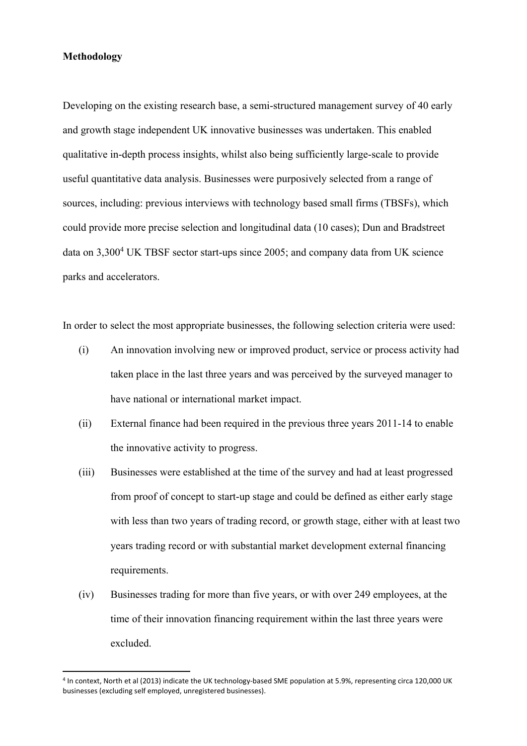#### **Methodology**

Developing on the existing research base, a semi-structured management survey of 40 early and growth stage independent UK innovative businesses was undertaken. This enabled qualitative in-depth process insights, whilst also being sufficiently large-scale to provide useful quantitative data analysis. Businesses were purposively selected from a range of sources, including: previous interviews with technology based small firms (TBSFs), which could provide more precise selection and longitudinal data (10 cases); Dun and Bradstreet data on 3,300<sup>4</sup> UK TBSF sector start-ups since 2005; and company data from UK science parks and accelerators.

In order to select the most appropriate businesses, the following selection criteria were used:

- (i) An innovation involving new or improved product, service or process activity had taken place in the last three years and was perceived by the surveyed manager to have national or international market impact.
- (ii) External finance had been required in the previous three years 2011-14 to enable the innovative activity to progress.
- (iii) Businesses were established at the time of the survey and had at least progressed from proof of concept to start-up stage and could be defined as either early stage with less than two years of trading record, or growth stage, either with at least two years trading record or with substantial market development external financing requirements.
- (iv) Businesses trading for more than five years, or with over 249 employees, at the time of their innovation financing requirement within the last three years were excluded.

<sup>4</sup> In context, North et al (2013) indicate the UK technology-based SME population at 5.9%, representing circa 120,000 UK businesses (excluding self employed, unregistered businesses).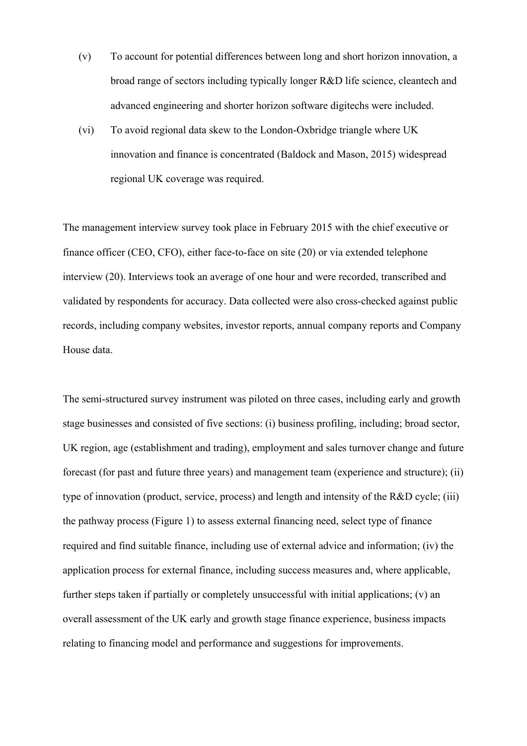- (v) To account for potential differences between long and short horizon innovation, a broad range of sectors including typically longer R&D life science, cleantech and advanced engineering and shorter horizon software digitechs were included.
- (vi) To avoid regional data skew to the London-Oxbridge triangle where UK innovation and finance is concentrated (Baldock and Mason, 2015) widespread regional UK coverage was required.

The management interview survey took place in February 2015 with the chief executive or finance officer (CEO, CFO), either face-to-face on site (20) or via extended telephone interview (20). Interviews took an average of one hour and were recorded, transcribed and validated by respondents for accuracy. Data collected were also cross-checked against public records, including company websites, investor reports, annual company reports and Company House data.

The semi-structured survey instrument was piloted on three cases, including early and growth stage businesses and consisted of five sections: (i) business profiling, including; broad sector, UK region, age (establishment and trading), employment and sales turnover change and future forecast (for past and future three years) and management team (experience and structure); (ii) type of innovation (product, service, process) and length and intensity of the R&D cycle; (iii) the pathway process (Figure 1) to assess external financing need, select type of finance required and find suitable finance, including use of external advice and information; (iv) the application process for external finance, including success measures and, where applicable, further steps taken if partially or completely unsuccessful with initial applications; (v) an overall assessment of the UK early and growth stage finance experience, business impacts relating to financing model and performance and suggestions for improvements.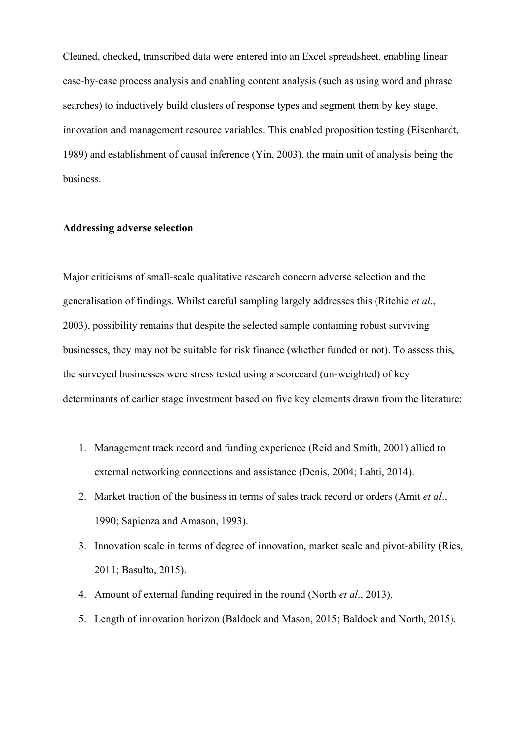Cleaned, checked, transcribed data were entered into an Excel spreadsheet, enabling linear case-by-case process analysis and enabling content analysis (such as using word and phrase searches) to inductively build clusters of response types and segment them by key stage, innovation and management resource variables. This enabled proposition testing (Eisenhardt, 1989) and establishment of causal inference (Yin, 2003), the main unit of analysis being the business.

## **Addressing adverse selection**

Major criticisms of small-scale qualitative research concern adverse selection and the generalisation of findings. Whilst careful sampling largely addresses this (Ritchie *et al*., 2003), possibility remains that despite the selected sample containing robust surviving businesses, they may not be suitable for risk finance (whether funded or not). To assess this, the surveyed businesses were stress tested using a scorecard (un-weighted) of key determinants of earlier stage investment based on five key elements drawn from the literature:

- 1. Management track record and funding experience (Reid and Smith, 2001) allied to external networking connections and assistance (Denis, 2004; Lahti, 2014).
- 2. Market traction of the business in terms of sales track record or orders (Amit *et al*., 1990; Sapienza and Amason, 1993).
- 3. Innovation scale in terms of degree of innovation, market scale and pivot-ability (Ries, 2011; Basulto, 2015).
- 4. Amount of external funding required in the round (North *et al*., 2013).
- 5. Length of innovation horizon (Baldock and Mason, 2015; Baldock and North, 2015).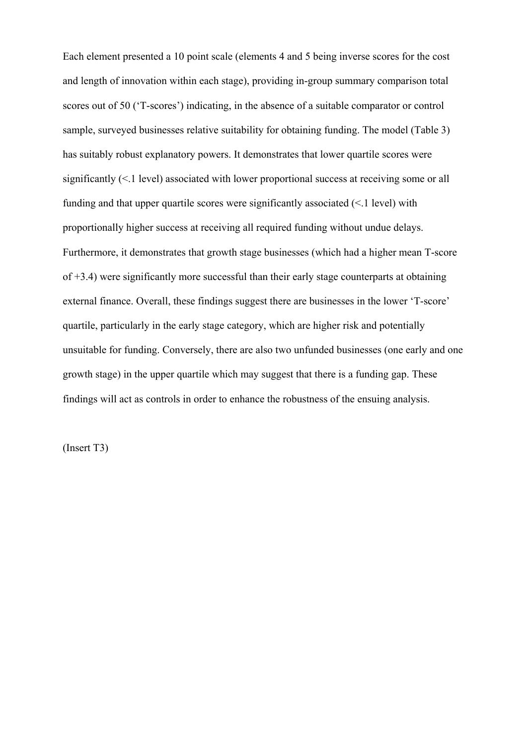Each element presented a 10 point scale (elements 4 and 5 being inverse scores for the cost and length of innovation within each stage), providing in-group summary comparison total scores out of 50 ('T-scores') indicating, in the absence of a suitable comparator or control sample, surveyed businesses relative suitability for obtaining funding. The model (Table 3) has suitably robust explanatory powers. It demonstrates that lower quartile scores were significantly (<.1 level) associated with lower proportional success at receiving some or all funding and that upper quartile scores were significantly associated (<.1 level) with proportionally higher success at receiving all required funding without undue delays. Furthermore, it demonstrates that growth stage businesses (which had a higher mean T-score of +3.4) were significantly more successful than their early stage counterparts at obtaining external finance. Overall, these findings suggest there are businesses in the lower 'T-score' quartile, particularly in the early stage category, which are higher risk and potentially unsuitable for funding. Conversely, there are also two unfunded businesses (one early and one growth stage) in the upper quartile which may suggest that there is a funding gap. These findings will act as controls in order to enhance the robustness of the ensuing analysis.

(Insert T3)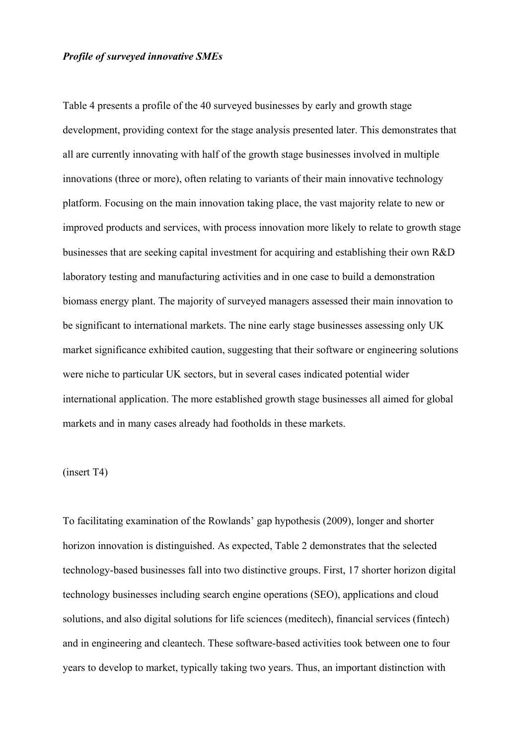### *Profile of surveyed innovative SMEs*

Table 4 presents a profile of the 40 surveyed businesses by early and growth stage development, providing context for the stage analysis presented later. This demonstrates that all are currently innovating with half of the growth stage businesses involved in multiple innovations (three or more), often relating to variants of their main innovative technology platform. Focusing on the main innovation taking place, the vast majority relate to new or improved products and services, with process innovation more likely to relate to growth stage businesses that are seeking capital investment for acquiring and establishing their own R&D laboratory testing and manufacturing activities and in one case to build a demonstration biomass energy plant. The majority of surveyed managers assessed their main innovation to be significant to international markets. The nine early stage businesses assessing only UK market significance exhibited caution, suggesting that their software or engineering solutions were niche to particular UK sectors, but in several cases indicated potential wider international application. The more established growth stage businesses all aimed for global markets and in many cases already had footholds in these markets.

## (insert T4)

To facilitating examination of the Rowlands' gap hypothesis (2009), longer and shorter horizon innovation is distinguished. As expected, Table 2 demonstrates that the selected technology-based businesses fall into two distinctive groups. First, 17 shorter horizon digital technology businesses including search engine operations (SEO), applications and cloud solutions, and also digital solutions for life sciences (meditech), financial services (fintech) and in engineering and cleantech. These software-based activities took between one to four years to develop to market, typically taking two years. Thus, an important distinction with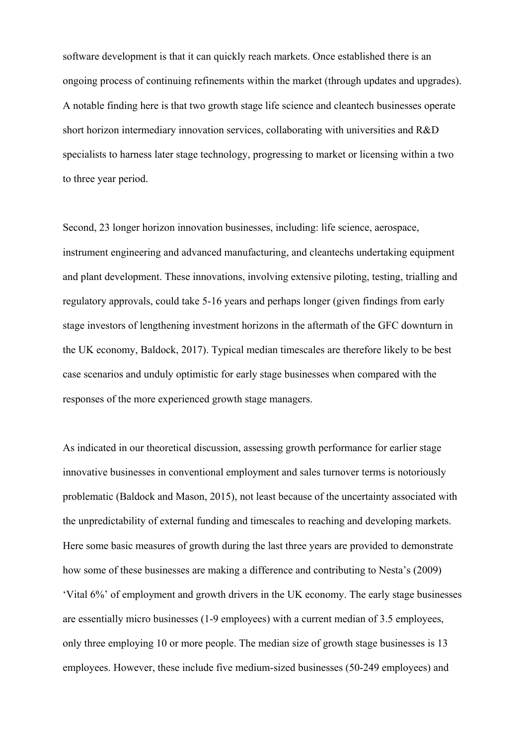software development is that it can quickly reach markets. Once established there is an ongoing process of continuing refinements within the market (through updates and upgrades). A notable finding here is that two growth stage life science and cleantech businesses operate short horizon intermediary innovation services, collaborating with universities and R&D specialists to harness later stage technology, progressing to market or licensing within a two to three year period.

Second, 23 longer horizon innovation businesses, including: life science, aerospace, instrument engineering and advanced manufacturing, and cleantechs undertaking equipment and plant development. These innovations, involving extensive piloting, testing, trialling and regulatory approvals, could take 5-16 years and perhaps longer (given findings from early stage investors of lengthening investment horizons in the aftermath of the GFC downturn in the UK economy, Baldock, 2017). Typical median timescales are therefore likely to be best case scenarios and unduly optimistic for early stage businesses when compared with the responses of the more experienced growth stage managers.

As indicated in our theoretical discussion, assessing growth performance for earlier stage innovative businesses in conventional employment and sales turnover terms is notoriously problematic (Baldock and Mason, 2015), not least because of the uncertainty associated with the unpredictability of external funding and timescales to reaching and developing markets. Here some basic measures of growth during the last three years are provided to demonstrate how some of these businesses are making a difference and contributing to Nesta's (2009) 'Vital 6%' of employment and growth drivers in the UK economy. The early stage businesses are essentially micro businesses (1-9 employees) with a current median of 3.5 employees, only three employing 10 or more people. The median size of growth stage businesses is 13 employees. However, these include five medium-sized businesses (50-249 employees) and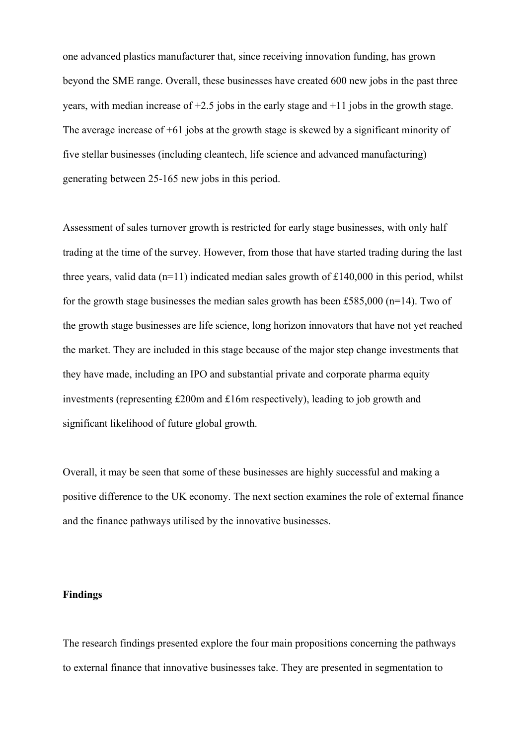one advanced plastics manufacturer that, since receiving innovation funding, has grown beyond the SME range. Overall, these businesses have created 600 new jobs in the past three years, with median increase of  $+2.5$  jobs in the early stage and  $+11$  jobs in the growth stage. The average increase of +61 jobs at the growth stage is skewed by a significant minority of five stellar businesses (including cleantech, life science and advanced manufacturing) generating between 25-165 new jobs in this period.

Assessment of sales turnover growth is restricted for early stage businesses, with only half trading at the time of the survey. However, from those that have started trading during the last three years, valid data ( $n=11$ ) indicated median sales growth of £140,000 in this period, whilst for the growth stage businesses the median sales growth has been £585,000 (n=14). Two of the growth stage businesses are life science, long horizon innovators that have not yet reached the market. They are included in this stage because of the major step change investments that they have made, including an IPO and substantial private and corporate pharma equity investments (representing £200m and £16m respectively), leading to job growth and significant likelihood of future global growth.

Overall, it may be seen that some of these businesses are highly successful and making a positive difference to the UK economy. The next section examines the role of external finance and the finance pathways utilised by the innovative businesses.

#### **Findings**

The research findings presented explore the four main propositions concerning the pathways to external finance that innovative businesses take. They are presented in segmentation to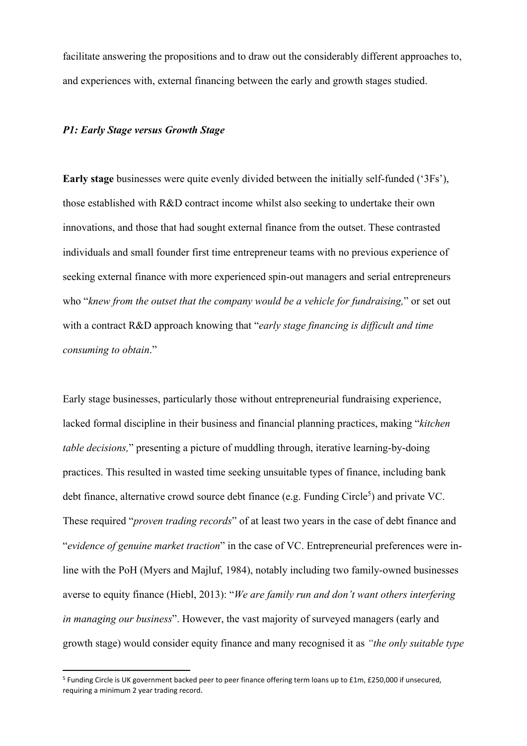facilitate answering the propositions and to draw out the considerably different approaches to, and experiences with, external financing between the early and growth stages studied.

#### *P1: Early Stage versus Growth Stage*

**Early stage** businesses were quite evenly divided between the initially self-funded ('3Fs'), those established with R&D contract income whilst also seeking to undertake their own innovations, and those that had sought external finance from the outset. These contrasted individuals and small founder first time entrepreneur teams with no previous experience of seeking external finance with more experienced spin-out managers and serial entrepreneurs who "*knew from the outset that the company would be a vehicle for fundraising,*" or set out with a contract R&D approach knowing that "*early stage financing is difficult and time consuming to obtain*."

Early stage businesses, particularly those without entrepreneurial fundraising experience, lacked formal discipline in their business and financial planning practices, making "*kitchen table decisions,*" presenting a picture of muddling through, iterative learning-by-doing practices. This resulted in wasted time seeking unsuitable types of finance, including bank debt finance, alternative crowd source debt finance (e.g. Funding Circle<sup>5</sup>) and private VC. These required "*proven trading records*" of at least two years in the case of debt finance and "*evidence of genuine market traction*" in the case of VC. Entrepreneurial preferences were inline with the PoH (Myers and Majluf, 1984), notably including two family-owned businesses averse to equity finance (Hiebl, 2013): "*We are family run and don't want others interfering in managing our business*". However, the vast majority of surveyed managers (early and growth stage) would consider equity finance and many recognised it as *"the only suitable type* 

<sup>5</sup> Funding Circle is UK government backed peer to peer finance offering term loans up to £1m, £250,000 if unsecured, requiring a minimum 2 year trading record.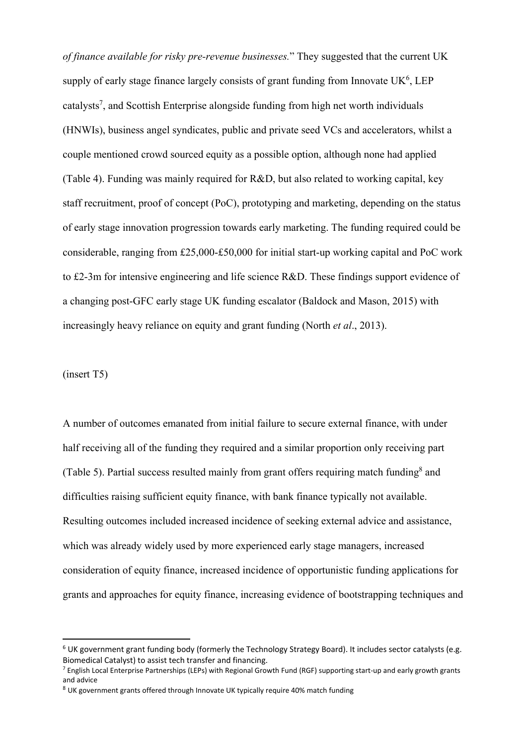*of finance available for risky pre-revenue businesses.*" They suggested that the current UK supply of early stage finance largely consists of grant funding from Innovate  $UK<sup>6</sup>$ , LEP catalysts<sup>7</sup>, and Scottish Enterprise alongside funding from high net worth individuals (HNWIs), business angel syndicates, public and private seed VCs and accelerators, whilst a couple mentioned crowd sourced equity as a possible option, although none had applied (Table 4). Funding was mainly required for R&D, but also related to working capital, key staff recruitment, proof of concept (PoC), prototyping and marketing, depending on the status of early stage innovation progression towards early marketing. The funding required could be considerable, ranging from £25,000-£50,000 for initial start-up working capital and PoC work to £2-3m for intensive engineering and life science R&D. These findings support evidence of a changing post-GFC early stage UK funding escalator (Baldock and Mason, 2015) with increasingly heavy reliance on equity and grant funding (North *et al*., 2013).

## (insert T5)

A number of outcomes emanated from initial failure to secure external finance, with under half receiving all of the funding they required and a similar proportion only receiving part (Table 5). Partial success resulted mainly from grant offers requiring match funding<sup>8</sup> and difficulties raising sufficient equity finance, with bank finance typically not available. Resulting outcomes included increased incidence of seeking external advice and assistance, which was already widely used by more experienced early stage managers, increased consideration of equity finance, increased incidence of opportunistic funding applications for grants and approaches for equity finance, increasing evidence of bootstrapping techniques and

<sup>6</sup> UK government grant funding body (formerly the Technology Strategy Board). It includes sector catalysts (e.g. Biomedical Catalyst) to assist tech transfer and financing.

<sup>7</sup> English Local Enterprise Partnerships (LEPs) with Regional Growth Fund (RGF) supporting start‐up and early growth grants and advice

<sup>&</sup>lt;sup>8</sup> UK government grants offered through Innovate UK typically require 40% match funding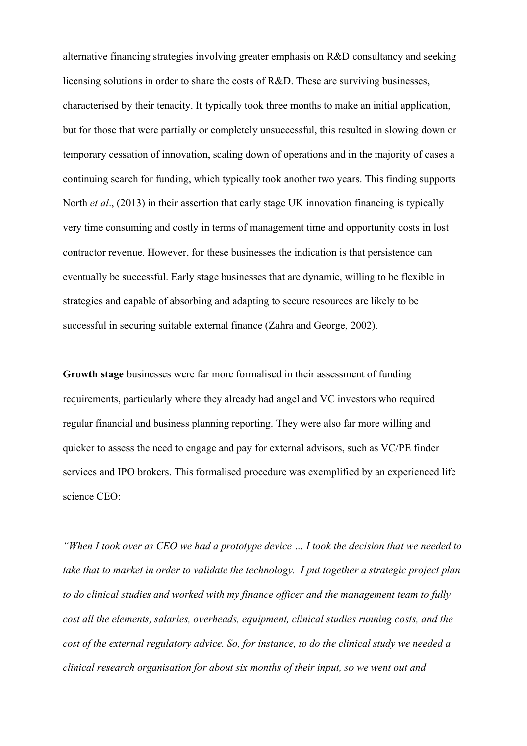alternative financing strategies involving greater emphasis on R&D consultancy and seeking licensing solutions in order to share the costs of R&D. These are surviving businesses, characterised by their tenacity. It typically took three months to make an initial application, but for those that were partially or completely unsuccessful, this resulted in slowing down or temporary cessation of innovation, scaling down of operations and in the majority of cases a continuing search for funding, which typically took another two years. This finding supports North *et al*., (2013) in their assertion that early stage UK innovation financing is typically very time consuming and costly in terms of management time and opportunity costs in lost contractor revenue. However, for these businesses the indication is that persistence can eventually be successful. Early stage businesses that are dynamic, willing to be flexible in strategies and capable of absorbing and adapting to secure resources are likely to be successful in securing suitable external finance (Zahra and George, 2002).

**Growth stage** businesses were far more formalised in their assessment of funding requirements, particularly where they already had angel and VC investors who required regular financial and business planning reporting. They were also far more willing and quicker to assess the need to engage and pay for external advisors, such as VC/PE finder services and IPO brokers. This formalised procedure was exemplified by an experienced life science CEO:

*"When I took over as CEO we had a prototype device … I took the decision that we needed to take that to market in order to validate the technology. I put together a strategic project plan to do clinical studies and worked with my finance officer and the management team to fully cost all the elements, salaries, overheads, equipment, clinical studies running costs, and the cost of the external regulatory advice. So, for instance, to do the clinical study we needed a clinical research organisation for about six months of their input, so we went out and*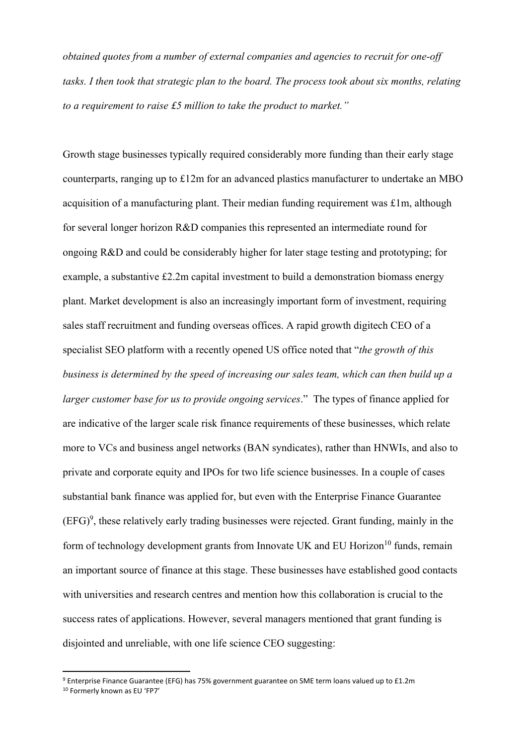*obtained quotes from a number of external companies and agencies to recruit for one-off tasks. I then took that strategic plan to the board. The process took about six months, relating to a requirement to raise £5 million to take the product to market."* 

Growth stage businesses typically required considerably more funding than their early stage counterparts, ranging up to £12m for an advanced plastics manufacturer to undertake an MBO acquisition of a manufacturing plant. Their median funding requirement was £1m, although for several longer horizon R&D companies this represented an intermediate round for ongoing R&D and could be considerably higher for later stage testing and prototyping; for example, a substantive £2.2m capital investment to build a demonstration biomass energy plant. Market development is also an increasingly important form of investment, requiring sales staff recruitment and funding overseas offices. A rapid growth digitech CEO of a specialist SEO platform with a recently opened US office noted that "*the growth of this business is determined by the speed of increasing our sales team, which can then build up a larger customer base for us to provide ongoing services*." The types of finance applied for are indicative of the larger scale risk finance requirements of these businesses, which relate more to VCs and business angel networks (BAN syndicates), rather than HNWIs, and also to private and corporate equity and IPOs for two life science businesses. In a couple of cases substantial bank finance was applied for, but even with the Enterprise Finance Guarantee  $(EFG)<sup>9</sup>$ , these relatively early trading businesses were rejected. Grant funding, mainly in the form of technology development grants from Innovate UK and EU Horizon<sup>10</sup> funds, remain an important source of finance at this stage. These businesses have established good contacts with universities and research centres and mention how this collaboration is crucial to the success rates of applications. However, several managers mentioned that grant funding is disjointed and unreliable, with one life science CEO suggesting:

<sup>9</sup> Enterprise Finance Guarantee (EFG) has 75% government guarantee on SME term loans valued up to £1.2m 10 Formerly known as EU 'FP7'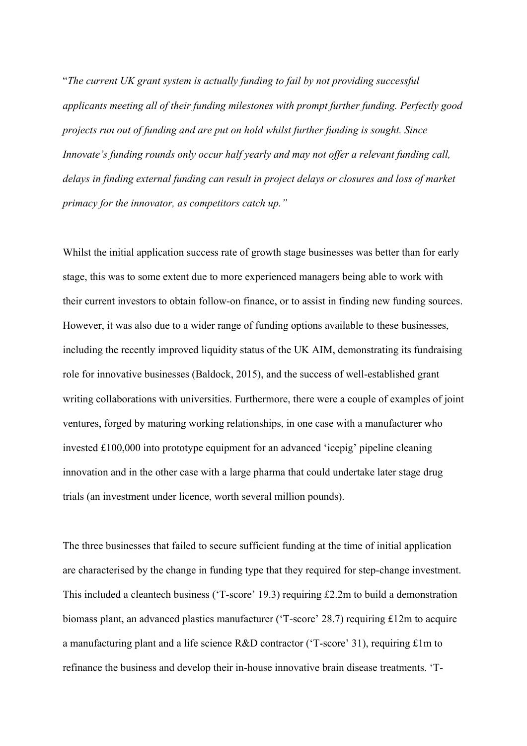"*The current UK grant system is actually funding to fail by not providing successful applicants meeting all of their funding milestones with prompt further funding. Perfectly good projects run out of funding and are put on hold whilst further funding is sought. Since Innovate's funding rounds only occur half yearly and may not offer a relevant funding call, delays in finding external funding can result in project delays or closures and loss of market primacy for the innovator, as competitors catch up."*

Whilst the initial application success rate of growth stage businesses was better than for early stage, this was to some extent due to more experienced managers being able to work with their current investors to obtain follow-on finance, or to assist in finding new funding sources. However, it was also due to a wider range of funding options available to these businesses, including the recently improved liquidity status of the UK AIM, demonstrating its fundraising role for innovative businesses (Baldock, 2015), and the success of well-established grant writing collaborations with universities. Furthermore, there were a couple of examples of joint ventures, forged by maturing working relationships, in one case with a manufacturer who invested £100,000 into prototype equipment for an advanced 'icepig' pipeline cleaning innovation and in the other case with a large pharma that could undertake later stage drug trials (an investment under licence, worth several million pounds).

The three businesses that failed to secure sufficient funding at the time of initial application are characterised by the change in funding type that they required for step-change investment. This included a cleantech business ('T-score' 19.3) requiring £2.2m to build a demonstration biomass plant, an advanced plastics manufacturer ('T-score' 28.7) requiring £12m to acquire a manufacturing plant and a life science R&D contractor ('T-score' 31), requiring £1m to refinance the business and develop their in-house innovative brain disease treatments. 'T-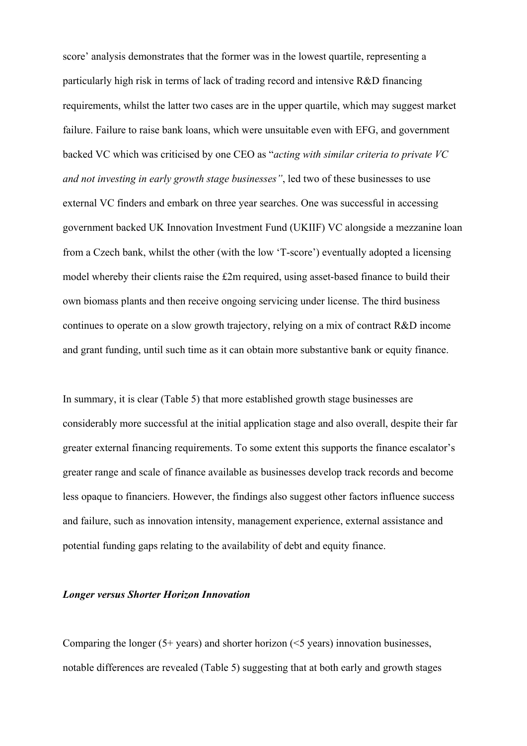score' analysis demonstrates that the former was in the lowest quartile, representing a particularly high risk in terms of lack of trading record and intensive R&D financing requirements, whilst the latter two cases are in the upper quartile, which may suggest market failure. Failure to raise bank loans, which were unsuitable even with EFG, and government backed VC which was criticised by one CEO as "*acting with similar criteria to private VC and not investing in early growth stage businesses"*, led two of these businesses to use external VC finders and embark on three year searches. One was successful in accessing government backed UK Innovation Investment Fund (UKIIF) VC alongside a mezzanine loan from a Czech bank, whilst the other (with the low 'T-score') eventually adopted a licensing model whereby their clients raise the £2m required, using asset-based finance to build their own biomass plants and then receive ongoing servicing under license. The third business continues to operate on a slow growth trajectory, relying on a mix of contract R&D income and grant funding, until such time as it can obtain more substantive bank or equity finance.

In summary, it is clear (Table 5) that more established growth stage businesses are considerably more successful at the initial application stage and also overall, despite their far greater external financing requirements. To some extent this supports the finance escalator's greater range and scale of finance available as businesses develop track records and become less opaque to financiers. However, the findings also suggest other factors influence success and failure, such as innovation intensity, management experience, external assistance and potential funding gaps relating to the availability of debt and equity finance.

#### *Longer versus Shorter Horizon Innovation*

Comparing the longer  $(5+)$  years) and shorter horizon  $(5)$  years) innovation businesses, notable differences are revealed (Table 5) suggesting that at both early and growth stages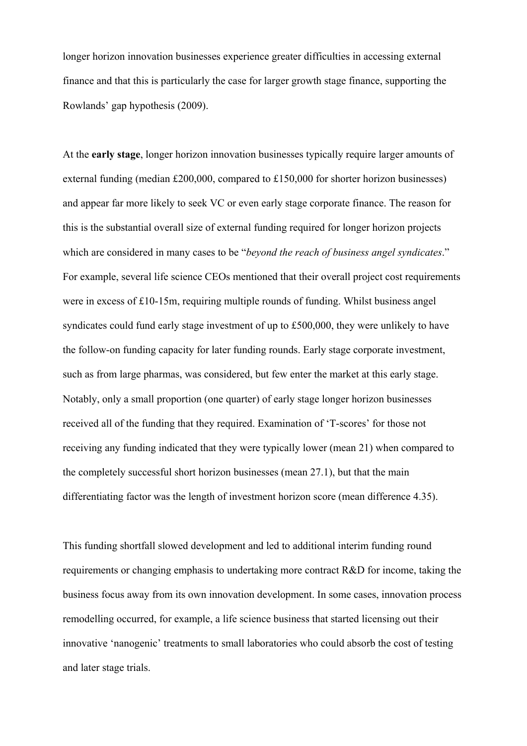longer horizon innovation businesses experience greater difficulties in accessing external finance and that this is particularly the case for larger growth stage finance, supporting the Rowlands' gap hypothesis (2009).

At the **early stage**, longer horizon innovation businesses typically require larger amounts of external funding (median £200,000, compared to £150,000 for shorter horizon businesses) and appear far more likely to seek VC or even early stage corporate finance. The reason for this is the substantial overall size of external funding required for longer horizon projects which are considered in many cases to be "*beyond the reach of business angel syndicates*." For example, several life science CEOs mentioned that their overall project cost requirements were in excess of £10-15m, requiring multiple rounds of funding. Whilst business angel syndicates could fund early stage investment of up to £500,000, they were unlikely to have the follow-on funding capacity for later funding rounds. Early stage corporate investment, such as from large pharmas, was considered, but few enter the market at this early stage. Notably, only a small proportion (one quarter) of early stage longer horizon businesses received all of the funding that they required. Examination of 'T-scores' for those not receiving any funding indicated that they were typically lower (mean 21) when compared to the completely successful short horizon businesses (mean 27.1), but that the main differentiating factor was the length of investment horizon score (mean difference 4.35).

This funding shortfall slowed development and led to additional interim funding round requirements or changing emphasis to undertaking more contract R&D for income, taking the business focus away from its own innovation development. In some cases, innovation process remodelling occurred, for example, a life science business that started licensing out their innovative 'nanogenic' treatments to small laboratories who could absorb the cost of testing and later stage trials.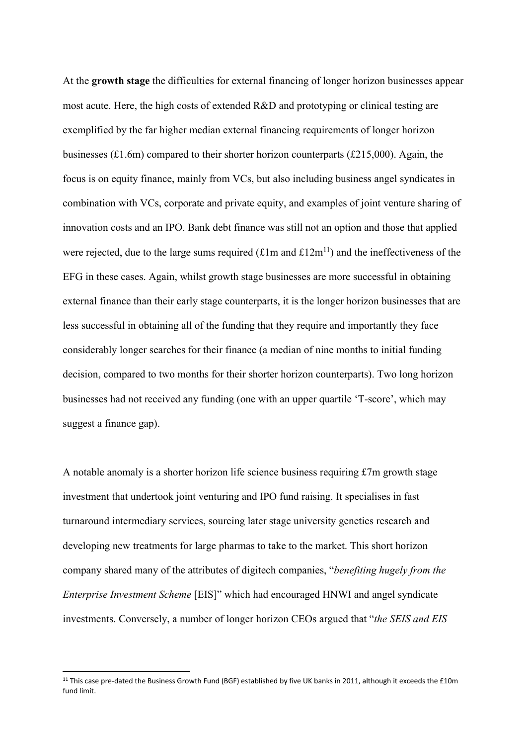At the **growth stage** the difficulties for external financing of longer horizon businesses appear most acute. Here, the high costs of extended R&D and prototyping or clinical testing are exemplified by the far higher median external financing requirements of longer horizon businesses (£1.6m) compared to their shorter horizon counterparts (£215,000). Again, the focus is on equity finance, mainly from VCs, but also including business angel syndicates in combination with VCs, corporate and private equity, and examples of joint venture sharing of innovation costs and an IPO. Bank debt finance was still not an option and those that applied were rejected, due to the large sums required  $(\text{\textsterling}1m$  and  $\text{\textsterling}12m^{11})$  and the ineffectiveness of the EFG in these cases. Again, whilst growth stage businesses are more successful in obtaining external finance than their early stage counterparts, it is the longer horizon businesses that are less successful in obtaining all of the funding that they require and importantly they face considerably longer searches for their finance (a median of nine months to initial funding decision, compared to two months for their shorter horizon counterparts). Two long horizon businesses had not received any funding (one with an upper quartile 'T-score', which may suggest a finance gap).

A notable anomaly is a shorter horizon life science business requiring £7m growth stage investment that undertook joint venturing and IPO fund raising. It specialises in fast turnaround intermediary services, sourcing later stage university genetics research and developing new treatments for large pharmas to take to the market. This short horizon company shared many of the attributes of digitech companies, "*benefiting hugely from the Enterprise Investment Scheme* [EIS]" which had encouraged HNWI and angel syndicate investments. Conversely, a number of longer horizon CEOs argued that "*the SEIS and EIS* 

<sup>&</sup>lt;sup>11</sup> This case pre-dated the Business Growth Fund (BGF) established by five UK banks in 2011, although it exceeds the £10m fund limit.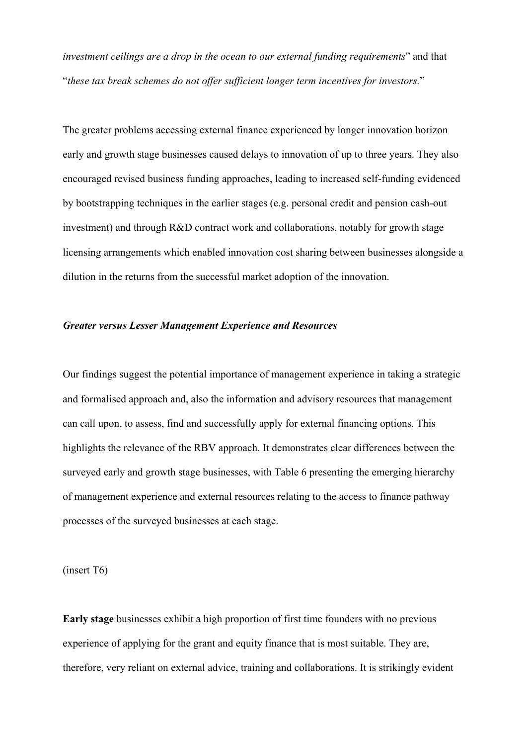*investment ceilings are a drop in the ocean to our external funding requirements*" and that "*these tax break schemes do not offer sufficient longer term incentives for investors.*"

The greater problems accessing external finance experienced by longer innovation horizon early and growth stage businesses caused delays to innovation of up to three years. They also encouraged revised business funding approaches, leading to increased self-funding evidenced by bootstrapping techniques in the earlier stages (e.g. personal credit and pension cash-out investment) and through R&D contract work and collaborations, notably for growth stage licensing arrangements which enabled innovation cost sharing between businesses alongside a dilution in the returns from the successful market adoption of the innovation.

## *Greater versus Lesser Management Experience and Resources*

Our findings suggest the potential importance of management experience in taking a strategic and formalised approach and, also the information and advisory resources that management can call upon, to assess, find and successfully apply for external financing options. This highlights the relevance of the RBV approach. It demonstrates clear differences between the surveyed early and growth stage businesses, with Table 6 presenting the emerging hierarchy of management experience and external resources relating to the access to finance pathway processes of the surveyed businesses at each stage.

(insert T6)

**Early stage** businesses exhibit a high proportion of first time founders with no previous experience of applying for the grant and equity finance that is most suitable. They are, therefore, very reliant on external advice, training and collaborations. It is strikingly evident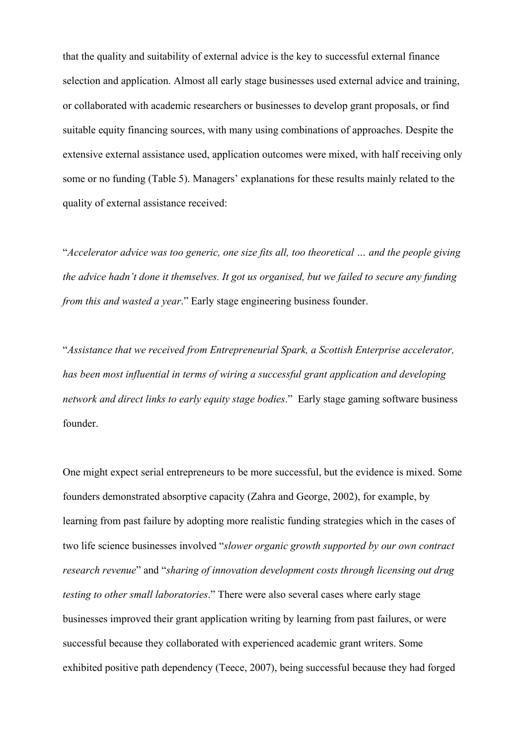that the quality and suitability of external advice is the key to successful external finance selection and application. Almost all early stage businesses used external advice and training, or collaborated with academic researchers or businesses to develop grant proposals, or find suitable equity financing sources, with many using combinations of approaches. Despite the extensive external assistance used, application outcomes were mixed, with half receiving only some or no funding (Table 5). Managers' explanations for these results mainly related to the quality of external assistance received:

"*Accelerator advice was too generic, one size fits all, too theoretical … and the people giving the advice hadn't done it themselves. It got us organised, but we failed to secure any funding from this and wasted a year*." Early stage engineering business founder.

"*Assistance that we received from Entrepreneurial Spark, a Scottish Enterprise accelerator, has been most influential in terms of wiring a successful grant application and developing network and direct links to early equity stage bodies*." Early stage gaming software business founder.

One might expect serial entrepreneurs to be more successful, but the evidence is mixed. Some founders demonstrated absorptive capacity (Zahra and George, 2002), for example, by learning from past failure by adopting more realistic funding strategies which in the cases of two life science businesses involved "*slower organic growth supported by our own contract research revenue*" and "*sharing of innovation development costs through licensing out drug testing to other small laboratories*." There were also several cases where early stage businesses improved their grant application writing by learning from past failures, or were successful because they collaborated with experienced academic grant writers. Some exhibited positive path dependency (Teece, 2007), being successful because they had forged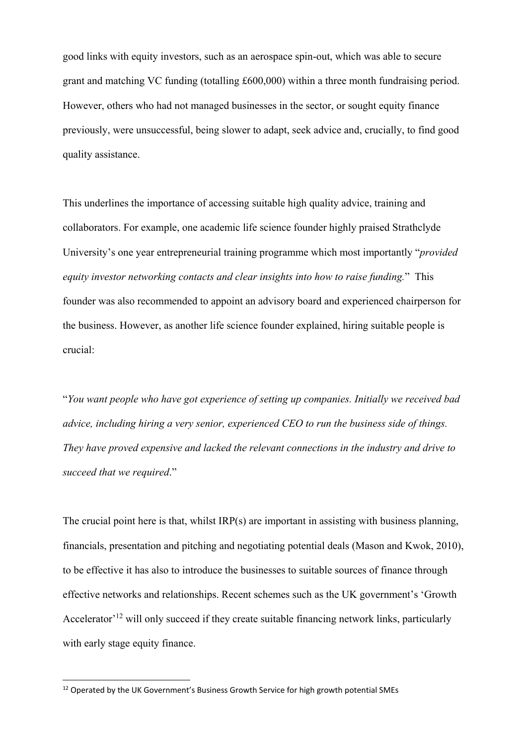good links with equity investors, such as an aerospace spin-out, which was able to secure grant and matching VC funding (totalling £600,000) within a three month fundraising period. However, others who had not managed businesses in the sector, or sought equity finance previously, were unsuccessful, being slower to adapt, seek advice and, crucially, to find good quality assistance.

This underlines the importance of accessing suitable high quality advice, training and collaborators. For example, one academic life science founder highly praised Strathclyde University's one year entrepreneurial training programme which most importantly "*provided equity investor networking contacts and clear insights into how to raise funding.*" This founder was also recommended to appoint an advisory board and experienced chairperson for the business. However, as another life science founder explained, hiring suitable people is crucial:

"*You want people who have got experience of setting up companies. Initially we received bad advice, including hiring a very senior, experienced CEO to run the business side of things. They have proved expensive and lacked the relevant connections in the industry and drive to succeed that we required*."

The crucial point here is that, whilst IRP(s) are important in assisting with business planning, financials, presentation and pitching and negotiating potential deals (Mason and Kwok, 2010), to be effective it has also to introduce the businesses to suitable sources of finance through effective networks and relationships. Recent schemes such as the UK government's 'Growth Accelerator<sup>'12</sup> will only succeed if they create suitable financing network links, particularly with early stage equity finance.

<sup>&</sup>lt;sup>12</sup> Operated by the UK Government's Business Growth Service for high growth potential SMEs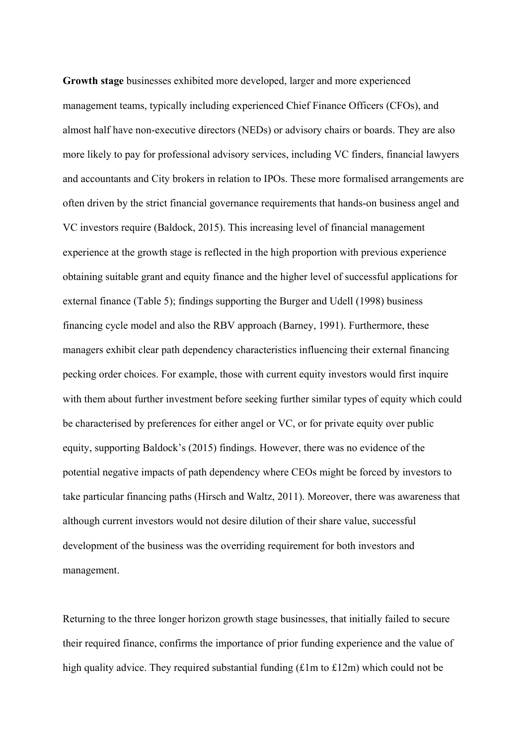**Growth stage** businesses exhibited more developed, larger and more experienced management teams, typically including experienced Chief Finance Officers (CFOs), and almost half have non-executive directors (NEDs) or advisory chairs or boards. They are also more likely to pay for professional advisory services, including VC finders, financial lawyers and accountants and City brokers in relation to IPOs. These more formalised arrangements are often driven by the strict financial governance requirements that hands-on business angel and VC investors require (Baldock, 2015). This increasing level of financial management experience at the growth stage is reflected in the high proportion with previous experience obtaining suitable grant and equity finance and the higher level of successful applications for external finance (Table 5); findings supporting the Burger and Udell (1998) business financing cycle model and also the RBV approach (Barney, 1991). Furthermore, these managers exhibit clear path dependency characteristics influencing their external financing pecking order choices. For example, those with current equity investors would first inquire with them about further investment before seeking further similar types of equity which could be characterised by preferences for either angel or VC, or for private equity over public equity, supporting Baldock's (2015) findings. However, there was no evidence of the potential negative impacts of path dependency where CEOs might be forced by investors to take particular financing paths (Hirsch and Waltz, 2011). Moreover, there was awareness that although current investors would not desire dilution of their share value, successful development of the business was the overriding requirement for both investors and management.

Returning to the three longer horizon growth stage businesses, that initially failed to secure their required finance, confirms the importance of prior funding experience and the value of high quality advice. They required substantial funding  $(\text{\textsterling}1m$  to  $\text{\textsterling}12m)$  which could not be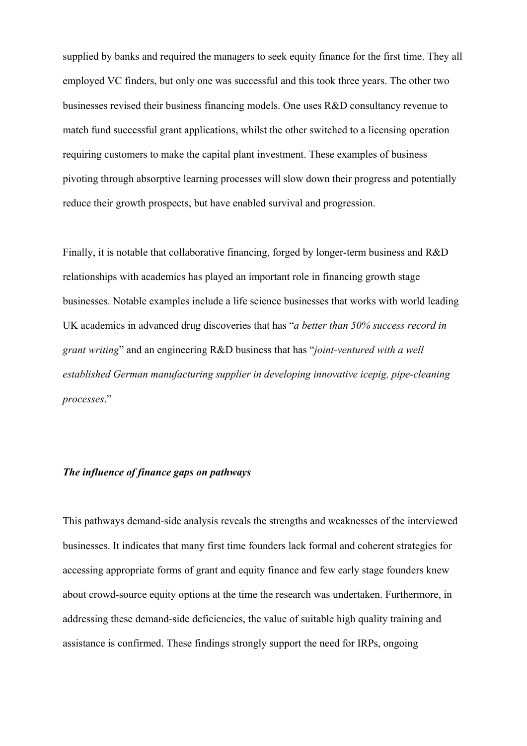supplied by banks and required the managers to seek equity finance for the first time. They all employed VC finders, but only one was successful and this took three years. The other two businesses revised their business financing models. One uses R&D consultancy revenue to match fund successful grant applications, whilst the other switched to a licensing operation requiring customers to make the capital plant investment. These examples of business pivoting through absorptive learning processes will slow down their progress and potentially reduce their growth prospects, but have enabled survival and progression.

Finally, it is notable that collaborative financing, forged by longer-term business and R&D relationships with academics has played an important role in financing growth stage businesses. Notable examples include a life science businesses that works with world leading UK academics in advanced drug discoveries that has "*a better than 50% success record in grant writing*" and an engineering R&D business that has "*joint-ventured with a well established German manufacturing supplier in developing innovative icepig, pipe-cleaning processes*."

## *The influence of finance gaps on pathways*

This pathways demand-side analysis reveals the strengths and weaknesses of the interviewed businesses. It indicates that many first time founders lack formal and coherent strategies for accessing appropriate forms of grant and equity finance and few early stage founders knew about crowd-source equity options at the time the research was undertaken. Furthermore, in addressing these demand-side deficiencies, the value of suitable high quality training and assistance is confirmed. These findings strongly support the need for IRPs, ongoing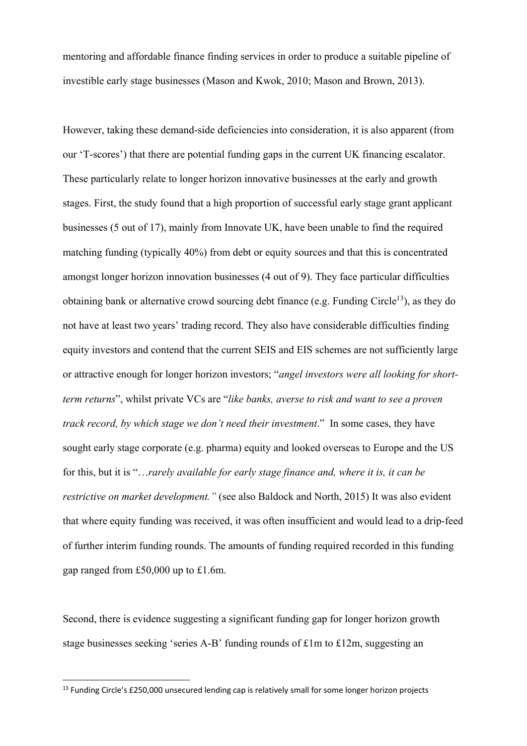mentoring and affordable finance finding services in order to produce a suitable pipeline of investible early stage businesses (Mason and Kwok, 2010; Mason and Brown, 2013).

However, taking these demand-side deficiencies into consideration, it is also apparent (from our 'T-scores') that there are potential funding gaps in the current UK financing escalator. These particularly relate to longer horizon innovative businesses at the early and growth stages. First, the study found that a high proportion of successful early stage grant applicant businesses (5 out of 17), mainly from Innovate UK, have been unable to find the required matching funding (typically 40%) from debt or equity sources and that this is concentrated amongst longer horizon innovation businesses (4 out of 9). They face particular difficulties obtaining bank or alternative crowd sourcing debt finance (e.g. Funding Circle<sup>13</sup>), as they do not have at least two years' trading record. They also have considerable difficulties finding equity investors and contend that the current SEIS and EIS schemes are not sufficiently large or attractive enough for longer horizon investors; "*angel investors were all looking for shortterm returns*", whilst private VCs are "*like banks, averse to risk and want to see a proven track record, by which stage we don't need their investment*." In some cases, they have sought early stage corporate (e.g. pharma) equity and looked overseas to Europe and the US for this, but it is "…*rarely available for early stage finance and, where it is, it can be restrictive on market development."* (see also Baldock and North, 2015) It was also evident that where equity funding was received, it was often insufficient and would lead to a drip-feed of further interim funding rounds. The amounts of funding required recorded in this funding gap ranged from £50,000 up to £1.6m.

Second, there is evidence suggesting a significant funding gap for longer horizon growth stage businesses seeking 'series A-B' funding rounds of £1m to £12m, suggesting an

<sup>&</sup>lt;sup>13</sup> Funding Circle's £250,000 unsecured lending cap is relatively small for some longer horizon projects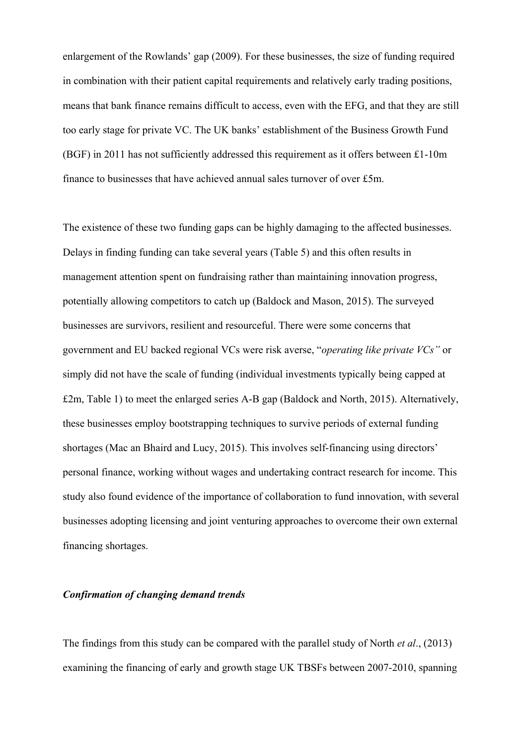enlargement of the Rowlands' gap (2009). For these businesses, the size of funding required in combination with their patient capital requirements and relatively early trading positions, means that bank finance remains difficult to access, even with the EFG, and that they are still too early stage for private VC. The UK banks' establishment of the Business Growth Fund (BGF) in 2011 has not sufficiently addressed this requirement as it offers between £1-10m finance to businesses that have achieved annual sales turnover of over £5m.

The existence of these two funding gaps can be highly damaging to the affected businesses. Delays in finding funding can take several years (Table 5) and this often results in management attention spent on fundraising rather than maintaining innovation progress, potentially allowing competitors to catch up (Baldock and Mason, 2015). The surveyed businesses are survivors, resilient and resourceful. There were some concerns that government and EU backed regional VCs were risk averse, "*operating like private VCs"* or simply did not have the scale of funding (individual investments typically being capped at £2m, Table 1) to meet the enlarged series A-B gap (Baldock and North, 2015). Alternatively, these businesses employ bootstrapping techniques to survive periods of external funding shortages (Mac an Bhaird and Lucy, 2015). This involves self-financing using directors' personal finance, working without wages and undertaking contract research for income. This study also found evidence of the importance of collaboration to fund innovation, with several businesses adopting licensing and joint venturing approaches to overcome their own external financing shortages.

### *Confirmation of changing demand trends*

The findings from this study can be compared with the parallel study of North *et al*., (2013) examining the financing of early and growth stage UK TBSFs between 2007-2010, spanning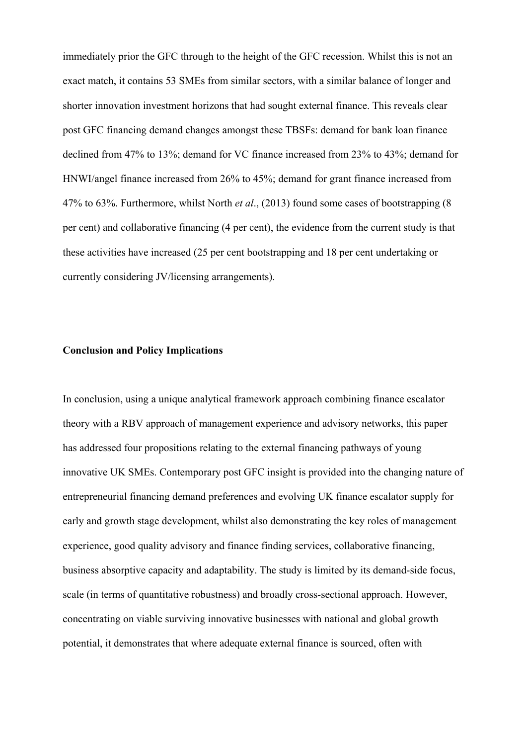immediately prior the GFC through to the height of the GFC recession. Whilst this is not an exact match, it contains 53 SMEs from similar sectors, with a similar balance of longer and shorter innovation investment horizons that had sought external finance. This reveals clear post GFC financing demand changes amongst these TBSFs: demand for bank loan finance declined from 47% to 13%; demand for VC finance increased from 23% to 43%; demand for HNWI/angel finance increased from 26% to 45%; demand for grant finance increased from 47% to 63%. Furthermore, whilst North *et al*., (2013) found some cases of bootstrapping (8 per cent) and collaborative financing (4 per cent), the evidence from the current study is that these activities have increased (25 per cent bootstrapping and 18 per cent undertaking or currently considering JV/licensing arrangements).

## **Conclusion and Policy Implications**

In conclusion, using a unique analytical framework approach combining finance escalator theory with a RBV approach of management experience and advisory networks, this paper has addressed four propositions relating to the external financing pathways of young innovative UK SMEs. Contemporary post GFC insight is provided into the changing nature of entrepreneurial financing demand preferences and evolving UK finance escalator supply for early and growth stage development, whilst also demonstrating the key roles of management experience, good quality advisory and finance finding services, collaborative financing, business absorptive capacity and adaptability. The study is limited by its demand-side focus, scale (in terms of quantitative robustness) and broadly cross-sectional approach. However, concentrating on viable surviving innovative businesses with national and global growth potential, it demonstrates that where adequate external finance is sourced, often with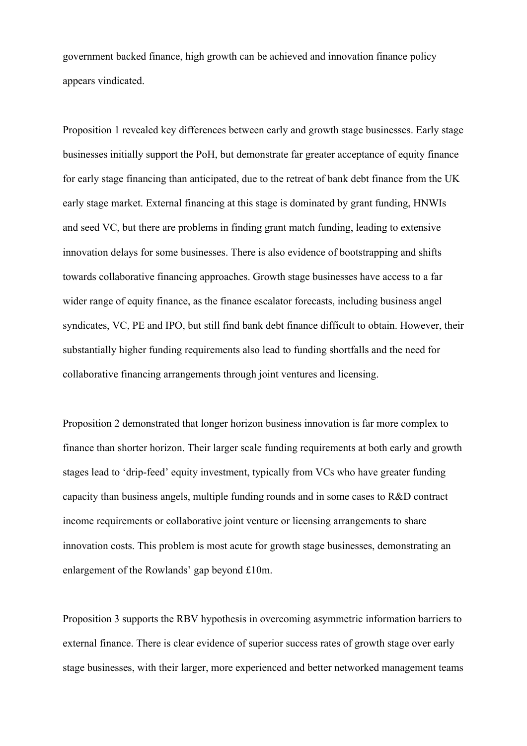government backed finance, high growth can be achieved and innovation finance policy appears vindicated.

Proposition 1 revealed key differences between early and growth stage businesses. Early stage businesses initially support the PoH, but demonstrate far greater acceptance of equity finance for early stage financing than anticipated, due to the retreat of bank debt finance from the UK early stage market. External financing at this stage is dominated by grant funding, HNWIs and seed VC, but there are problems in finding grant match funding, leading to extensive innovation delays for some businesses. There is also evidence of bootstrapping and shifts towards collaborative financing approaches. Growth stage businesses have access to a far wider range of equity finance, as the finance escalator forecasts, including business angel syndicates, VC, PE and IPO, but still find bank debt finance difficult to obtain. However, their substantially higher funding requirements also lead to funding shortfalls and the need for collaborative financing arrangements through joint ventures and licensing.

Proposition 2 demonstrated that longer horizon business innovation is far more complex to finance than shorter horizon. Their larger scale funding requirements at both early and growth stages lead to 'drip-feed' equity investment, typically from VCs who have greater funding capacity than business angels, multiple funding rounds and in some cases to R&D contract income requirements or collaborative joint venture or licensing arrangements to share innovation costs. This problem is most acute for growth stage businesses, demonstrating an enlargement of the Rowlands' gap beyond £10m.

Proposition 3 supports the RBV hypothesis in overcoming asymmetric information barriers to external finance. There is clear evidence of superior success rates of growth stage over early stage businesses, with their larger, more experienced and better networked management teams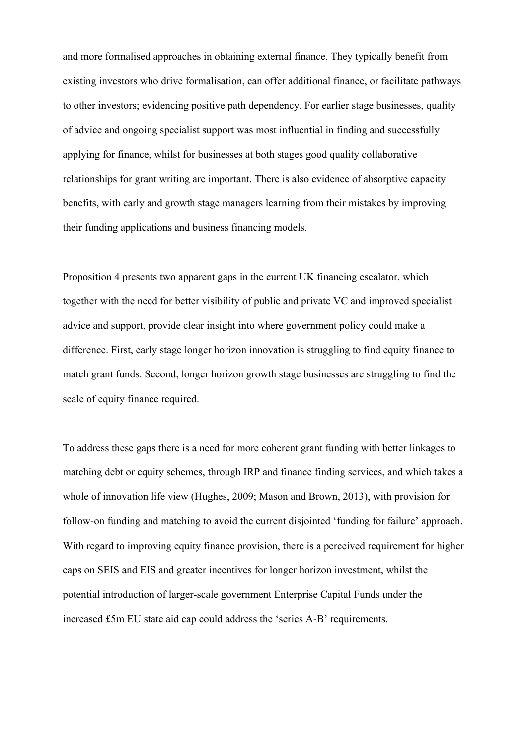and more formalised approaches in obtaining external finance. They typically benefit from existing investors who drive formalisation, can offer additional finance, or facilitate pathways to other investors; evidencing positive path dependency. For earlier stage businesses, quality of advice and ongoing specialist support was most influential in finding and successfully applying for finance, whilst for businesses at both stages good quality collaborative relationships for grant writing are important. There is also evidence of absorptive capacity benefits, with early and growth stage managers learning from their mistakes by improving their funding applications and business financing models.

Proposition 4 presents two apparent gaps in the current UK financing escalator, which together with the need for better visibility of public and private VC and improved specialist advice and support, provide clear insight into where government policy could make a difference. First, early stage longer horizon innovation is struggling to find equity finance to match grant funds. Second, longer horizon growth stage businesses are struggling to find the scale of equity finance required.

To address these gaps there is a need for more coherent grant funding with better linkages to matching debt or equity schemes, through IRP and finance finding services, and which takes a whole of innovation life view (Hughes, 2009; Mason and Brown, 2013), with provision for follow-on funding and matching to avoid the current disjointed 'funding for failure' approach. With regard to improving equity finance provision, there is a perceived requirement for higher caps on SEIS and EIS and greater incentives for longer horizon investment, whilst the potential introduction of larger-scale government Enterprise Capital Funds under the increased £5m EU state aid cap could address the 'series A-B' requirements.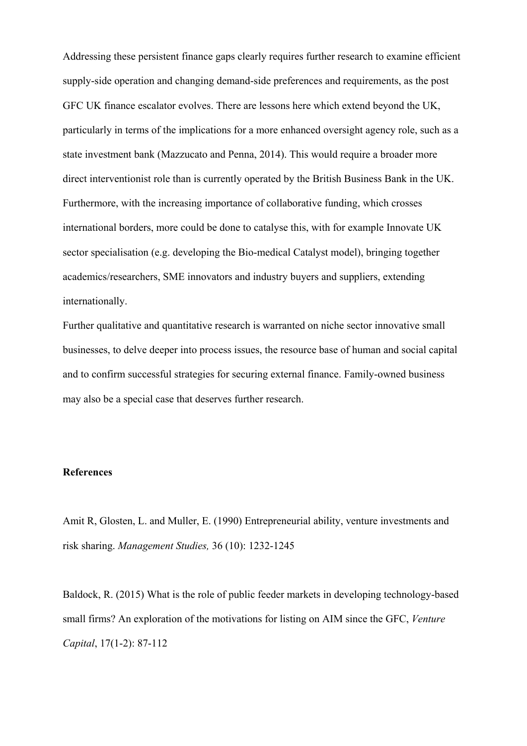Addressing these persistent finance gaps clearly requires further research to examine efficient supply-side operation and changing demand-side preferences and requirements, as the post GFC UK finance escalator evolves. There are lessons here which extend beyond the UK, particularly in terms of the implications for a more enhanced oversight agency role, such as a state investment bank (Mazzucato and Penna, 2014). This would require a broader more direct interventionist role than is currently operated by the British Business Bank in the UK. Furthermore, with the increasing importance of collaborative funding, which crosses international borders, more could be done to catalyse this, with for example Innovate UK sector specialisation (e.g. developing the Bio-medical Catalyst model), bringing together academics/researchers, SME innovators and industry buyers and suppliers, extending internationally.

Further qualitative and quantitative research is warranted on niche sector innovative small businesses, to delve deeper into process issues, the resource base of human and social capital and to confirm successful strategies for securing external finance. Family-owned business may also be a special case that deserves further research.

## **References**

Amit R, Glosten, L. and Muller, E. (1990) Entrepreneurial ability, venture investments and risk sharing. *Management Studies,* 36 (10): 1232-1245

Baldock, R. (2015) What is the role of public feeder markets in developing technology-based small firms? An exploration of the motivations for listing on AIM since the GFC, *Venture Capital*, 17(1-2): 87-112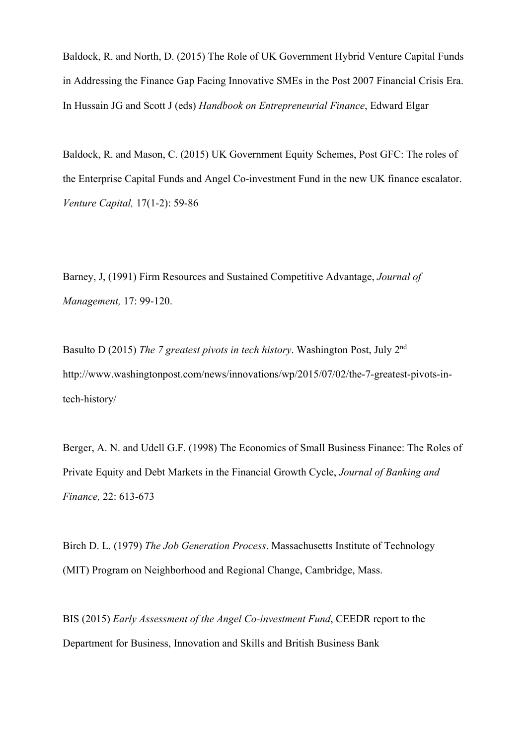Baldock, R. and North, D. (2015) The Role of UK Government Hybrid Venture Capital Funds in Addressing the Finance Gap Facing Innovative SMEs in the Post 2007 Financial Crisis Era. In Hussain JG and Scott J (eds) *Handbook on Entrepreneurial Finance*, Edward Elgar

Baldock, R. and Mason, C. (2015) UK Government Equity Schemes, Post GFC: The roles of the Enterprise Capital Funds and Angel Co-investment Fund in the new UK finance escalator. *Venture Capital,* 17(1-2): 59-86

Barney, J, (1991) Firm Resources and Sustained Competitive Advantage, *Journal of Management,* 17: 99-120.

Basulto D (2015) *The 7 greatest pivots in tech history*. Washington Post, July 2nd http://www.washingtonpost.com/news/innovations/wp/2015/07/02/the-7-greatest-pivots-intech-history/

Berger, A. N. and Udell G.F. (1998) The Economics of Small Business Finance: The Roles of Private Equity and Debt Markets in the Financial Growth Cycle, *Journal of Banking and Finance,* 22: 613-673

Birch D. L. (1979) *The Job Generation Process*. Massachusetts Institute of Technology (MIT) Program on Neighborhood and Regional Change, Cambridge, Mass.

BIS (2015) *Early Assessment of the Angel Co-investment Fund*, CEEDR report to the Department for Business, Innovation and Skills and British Business Bank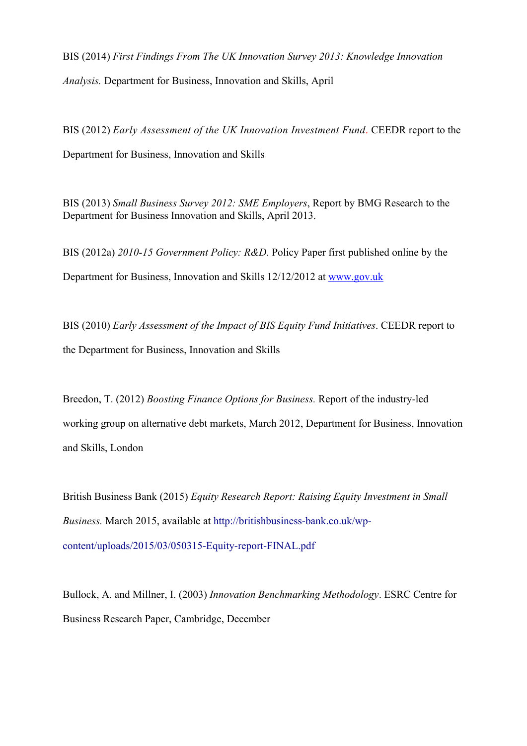BIS (2014) *First Findings From The UK Innovation Survey 2013: Knowledge Innovation Analysis.* Department for Business, Innovation and Skills, April

BIS (2012) *Early Assessment of the UK Innovation Investment Fund*. CEEDR report to the Department for Business, Innovation and Skills

BIS (2013) *Small Business Survey 2012: SME Employers*, Report by BMG Research to the Department for Business Innovation and Skills, April 2013.

BIS (2012a) *2010-15 Government Policy: R&D.* Policy Paper first published online by the Department for Business, Innovation and Skills 12/12/2012 at www.gov.uk

BIS (2010) *Early Assessment of the Impact of BIS Equity Fund Initiatives*. CEEDR report to the Department for Business, Innovation and Skills

Breedon, T. (2012) *Boosting Finance Options for Business.* Report of the industry-led working group on alternative debt markets, March 2012, Department for Business, Innovation and Skills, London

British Business Bank (2015) *Equity Research Report: Raising Equity Investment in Small Business.* March 2015, available at http://britishbusiness-bank.co.uk/wpcontent/uploads/2015/03/050315-Equity-report-FINAL.pdf

Bullock, A. and Millner, I. (2003) *Innovation Benchmarking Methodology*. ESRC Centre for Business Research Paper, Cambridge, December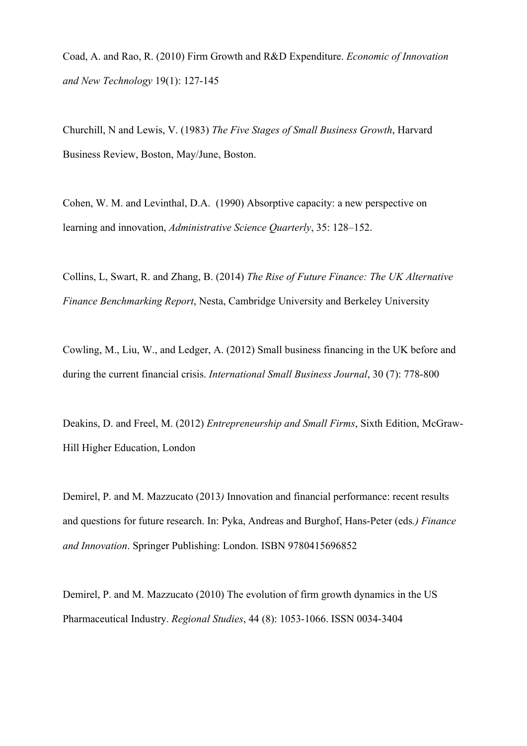Coad, A. and Rao, R. (2010) Firm Growth and R&D Expenditure. *Economic of Innovation and New Technology* 19(1): 127-145

Churchill, N and Lewis, V. (1983) *The Five Stages of Small Business Growth*, Harvard Business Review, Boston, May/June, Boston.

Cohen, W. M. and Levinthal, D.A. (1990) Absorptive capacity: a new perspective on learning and innovation, *Administrative Science Quarterly*, 35: 128–152.

Collins, L, Swart, R. and Zhang, B. (2014) *The Rise of Future Finance: The UK Alternative Finance Benchmarking Report*, Nesta, Cambridge University and Berkeley University

Cowling, M., Liu, W., and Ledger, A. (2012) Small business financing in the UK before and during the current financial crisis. *International Small Business Journal*, 30 (7): 778-800

Deakins, D. and Freel, M. (2012) *Entrepreneurship and Small Firms*, Sixth Edition, McGraw-Hill Higher Education, London

Demirel, P. and M. Mazzucato (2013*)* Innovation and financial performance: recent results and questions for future research. In: Pyka, Andreas and Burghof, Hans-Peter (eds*.) Finance and Innovation*. Springer Publishing: London. ISBN 9780415696852

Demirel, P. and M. Mazzucato (2010) The evolution of firm growth dynamics in the US Pharmaceutical Industry. *Regional Studies*, 44 (8): 1053-1066. ISSN 0034-3404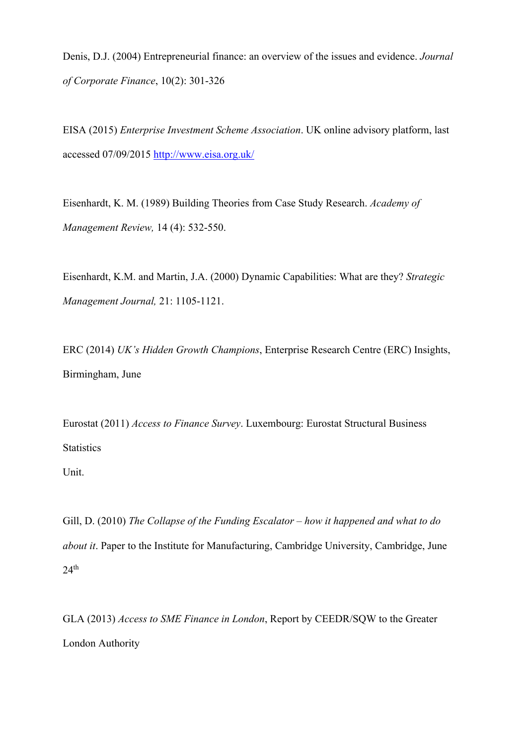Denis, D.J. (2004) Entrepreneurial finance: an overview of the issues and evidence. *Journal of Corporate Finance*, 10(2): 301-326

EISA (2015) *Enterprise Investment Scheme Association*. UK online advisory platform, last accessed 07/09/2015 http://www.eisa.org.uk/

Eisenhardt, K. M. (1989) Building Theories from Case Study Research. *Academy of Management Review,* 14 (4): 532-550.

Eisenhardt, K.M. and Martin, J.A. (2000) Dynamic Capabilities: What are they? *Strategic Management Journal,* 21: 1105-1121.

ERC (2014) *UK's Hidden Growth Champions*, Enterprise Research Centre (ERC) Insights, Birmingham, June

Eurostat (2011) *Access to Finance Survey*. Luxembourg: Eurostat Structural Business **Statistics** 

Unit.

Gill, D. (2010) *The Collapse of the Funding Escalator – how it happened and what to do about it*. Paper to the Institute for Manufacturing, Cambridge University, Cambridge, June  $24$ <sup>th</sup>

GLA (2013) *Access to SME Finance in London*, Report by CEEDR/SQW to the Greater London Authority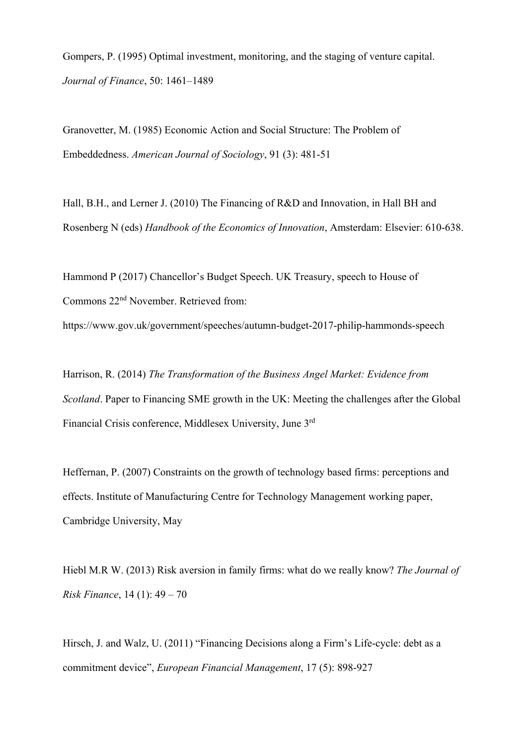Gompers, P. (1995) Optimal investment, monitoring, and the staging of venture capital. *Journal of Finance*, 50: 1461–1489

Granovetter, M. (1985) Economic Action and Social Structure: The Problem of Embeddedness. *American Journal of Sociology*, 91 (3): 481-51

Hall, B.H., and Lerner J. (2010) The Financing of R&D and Innovation, in Hall BH and Rosenberg N (eds) *Handbook of the Economics of Innovation*, Amsterdam: Elsevier: 610-638.

Hammond P (2017) Chancellor's Budget Speech. UK Treasury, speech to House of Commons 22nd November. Retrieved from: https://www.gov.uk/government/speeches/autumn-budget-2017-philip-hammonds-speech

Harrison, R. (2014) *The Transformation of the Business Angel Market: Evidence from Scotland*. Paper to Financing SME growth in the UK: Meeting the challenges after the Global Financial Crisis conference, Middlesex University, June 3rd

Heffernan, P. (2007) Constraints on the growth of technology based firms: perceptions and effects. Institute of Manufacturing Centre for Technology Management working paper, Cambridge University, May

Hiebl M.R W. (2013) Risk aversion in family firms: what do we really know? *The Journal of Risk Finance*, 14 (1): 49 – 70

Hirsch, J. and Walz, U. (2011) "Financing Decisions along a Firm's Life-cycle: debt as a commitment device", *European Financial Management*, 17 (5): 898-927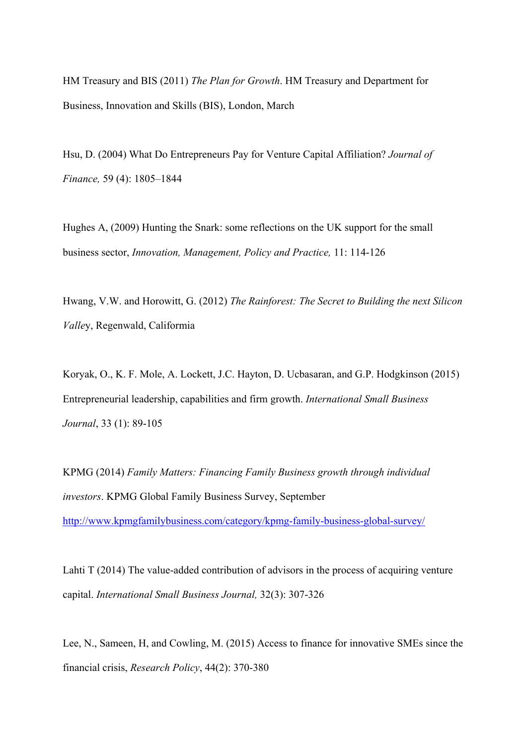HM Treasury and BIS (2011) *The Plan for Growth*. HM Treasury and Department for Business, Innovation and Skills (BIS), London, March

Hsu, D. (2004) What Do Entrepreneurs Pay for Venture Capital Affiliation? *Journal of Finance,* 59 (4): 1805–1844

Hughes A, (2009) Hunting the Snark: some reflections on the UK support for the small business sector, *Innovation, Management, Policy and Practice,* 11: 114-126

Hwang, V.W. and Horowitt, G. (2012) *The Rainforest: The Secret to Building the next Silicon Valle*y, Regenwald, Califormia

Koryak, O., K. F. Mole, A. Lockett, J.C. Hayton, D. Ucbasaran, and G.P. Hodgkinson (2015) Entrepreneurial leadership, capabilities and firm growth. *International Small Business Journal*, 33 (1): 89-105

KPMG (2014) *Family Matters: Financing Family Business growth through individual investors*. KPMG Global Family Business Survey, September http://www.kpmgfamilybusiness.com/category/kpmg-family-business-global-survey/

Lahti T (2014) The value-added contribution of advisors in the process of acquiring venture capital. *International Small Business Journal,* 32(3): 307-326

Lee, N., Sameen, H, and Cowling, M. (2015) Access to finance for innovative SMEs since the financial crisis, *Research Policy*, 44(2): 370-380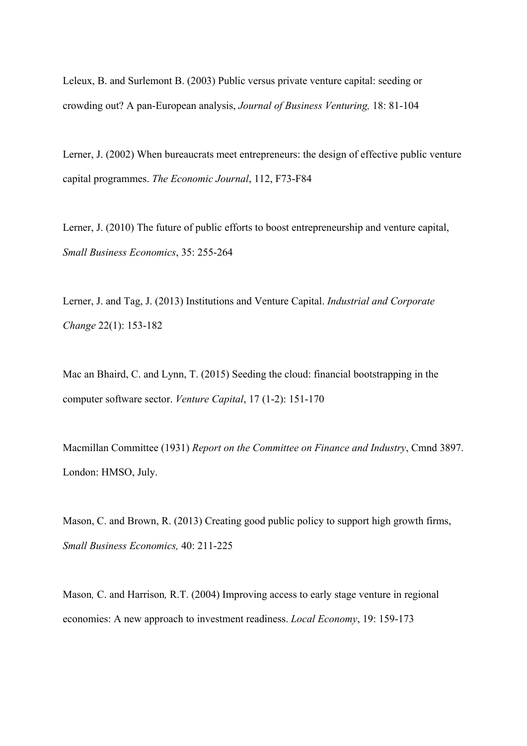Leleux, B. and Surlemont B. (2003) Public versus private venture capital: seeding or crowding out? A pan-European analysis, *Journal of Business Venturing,* 18: 81-104

Lerner, J. (2002) When bureaucrats meet entrepreneurs: the design of effective public venture capital programmes. *The Economic Journal*, 112, F73-F84

Lerner, J. (2010) The future of public efforts to boost entrepreneurship and venture capital, *Small Business Economics*, 35: 255-264

Lerner, J. and Tag, J. (2013) Institutions and Venture Capital. *Industrial and Corporate Change* 22(1): 153-182

Mac an Bhaird, C. and Lynn, T. (2015) Seeding the cloud: financial bootstrapping in the computer software sector. *Venture Capital*, 17 (1-2): 151-170

Macmillan Committee (1931) *Report on the Committee on Finance and Industry*, Cmnd 3897. London: HMSO, July.

Mason, C. and Brown, R. (2013) Creating good public policy to support high growth firms, *Small Business Economics,* 40: 211-225

Mason*,* C. and Harrison*,* R.T. (2004) Improving access to early stage venture in regional economies: A new approach to investment readiness. *Local Economy*, 19: 159-173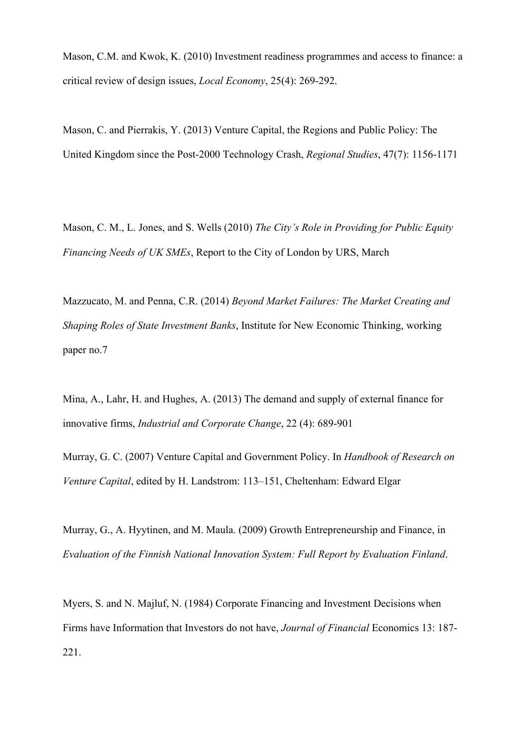Mason, C.M. and Kwok, K. (2010) Investment readiness programmes and access to finance: a critical review of design issues, *Local Economy*, 25(4): 269-292.

Mason, C. and Pierrakis, Y. (2013) Venture Capital, the Regions and Public Policy: The United Kingdom since the Post-2000 Technology Crash, *Regional Studies*, 47(7): 1156-1171

Mason, C. M., L. Jones, and S. Wells (2010) *The City's Role in Providing for Public Equity Financing Needs of UK SMEs*, Report to the City of London by URS, March

Mazzucato, M. and Penna, C.R. (2014) *Beyond Market Failures: The Market Creating and Shaping Roles of State Investment Banks*, Institute for New Economic Thinking, working paper no.7

Mina, A., Lahr, H. and Hughes, A. (2013) The demand and supply of external finance for innovative firms, *Industrial and Corporate Change*, 22 (4): 689-901

Murray, G. C. (2007) Venture Capital and Government Policy. In *Handbook of Research on Venture Capital*, edited by H. Landstrom: 113–151, Cheltenham: Edward Elgar

Murray, G., A. Hyytinen, and M. Maula. (2009) Growth Entrepreneurship and Finance, in *Evaluation of the Finnish National Innovation System: Full Report by Evaluation Finland*.

Myers, S. and N. Majluf, N. (1984) Corporate Financing and Investment Decisions when Firms have Information that Investors do not have, *Journal of Financial* Economics 13: 187- 221.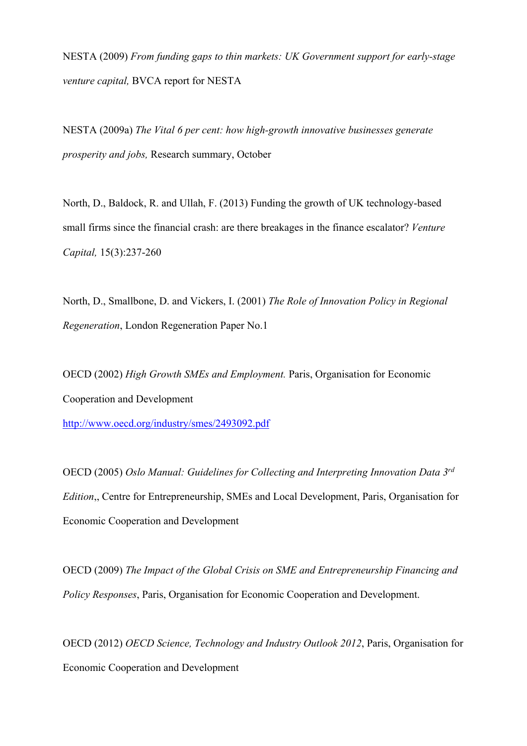NESTA (2009) *From funding gaps to thin markets: UK Government support for early-stage venture capital,* BVCA report for NESTA

NESTA (2009a) *The Vital 6 per cent: how high-growth innovative businesses generate prosperity and jobs,* Research summary, October

North, D., Baldock, R. and Ullah, F. (2013) Funding the growth of UK technology-based small firms since the financial crash: are there breakages in the finance escalator? *Venture Capital,* 15(3):237-260

North, D., Smallbone, D. and Vickers, I. (2001) *The Role of Innovation Policy in Regional Regeneration*, London Regeneration Paper No.1

OECD (2002) *High Growth SMEs and Employment.* Paris, Organisation for Economic Cooperation and Development

http://www.oecd.org/industry/smes/2493092.pdf

OECD (2005) *Oslo Manual: Guidelines for Collecting and Interpreting Innovation Data 3rd Edition*,, Centre for Entrepreneurship, SMEs and Local Development, Paris, Organisation for Economic Cooperation and Development

OECD (2009) *The Impact of the Global Crisis on SME and Entrepreneurship Financing and Policy Responses*, Paris, Organisation for Economic Cooperation and Development.

OECD (2012) *OECD Science, Technology and Industry Outlook 2012*, Paris, Organisation for Economic Cooperation and Development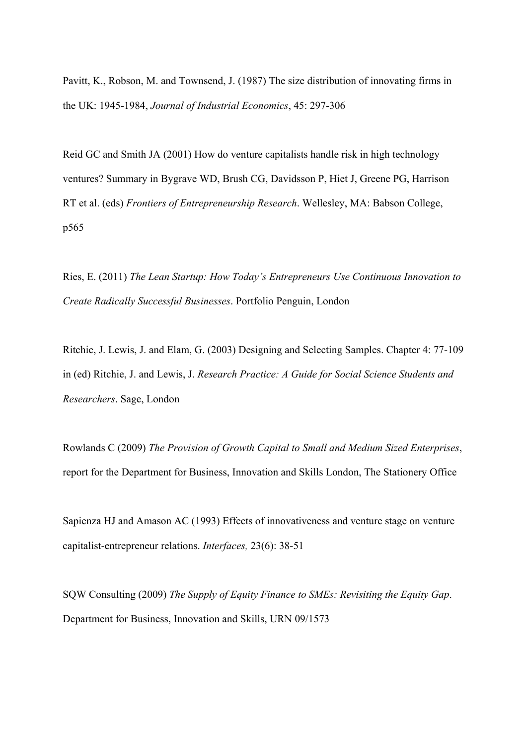Pavitt, K., Robson, M. and Townsend, J. (1987) The size distribution of innovating firms in the UK: 1945-1984, *Journal of Industrial Economics*, 45: 297-306

Reid GC and Smith JA (2001) How do venture capitalists handle risk in high technology ventures? Summary in Bygrave WD, Brush CG, Davidsson P, Hiet J, Greene PG, Harrison RT et al. (eds) *Frontiers of Entrepreneurship Research*. Wellesley, MA: Babson College, p565

Ries, E. (2011) *The Lean Startup: How Today's Entrepreneurs Use Continuous Innovation to Create Radically Successful Businesses*. Portfolio Penguin, London

Ritchie, J. Lewis, J. and Elam, G. (2003) Designing and Selecting Samples. Chapter 4: 77-109 in (ed) Ritchie, J. and Lewis, J. *Research Practice: A Guide for Social Science Students and Researchers*. Sage, London

Rowlands C (2009) *The Provision of Growth Capital to Small and Medium Sized Enterprises*, report for the Department for Business, Innovation and Skills London, The Stationery Office

Sapienza HJ and Amason AC (1993) Effects of innovativeness and venture stage on venture capitalist-entrepreneur relations. *Interfaces,* 23(6): 38-51

SQW Consulting (2009) *The Supply of Equity Finance to SMEs: Revisiting the Equity Gap*. Department for Business, Innovation and Skills, URN 09/1573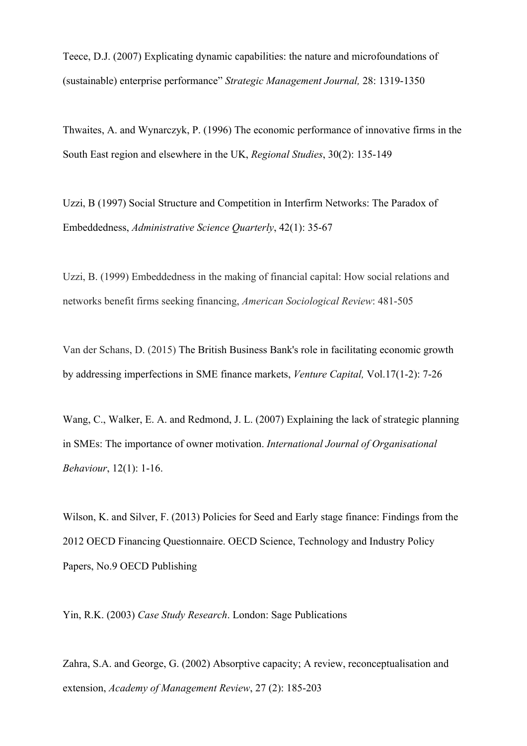Teece, D.J. (2007) Explicating dynamic capabilities: the nature and microfoundations of (sustainable) enterprise performance" *Strategic Management Journal,* 28: 1319-1350

Thwaites, A. and Wynarczyk, P. (1996) The economic performance of innovative firms in the South East region and elsewhere in the UK, *Regional Studies*, 30(2): 135-149

Uzzi, B (1997) Social Structure and Competition in Interfirm Networks: The Paradox of Embeddedness, *Administrative Science Quarterly*, 42(1): 35-67

Uzzi, B. (1999) Embeddedness in the making of financial capital: How social relations and networks benefit firms seeking financing, *American Sociological Review*: 481-505

Van der Schans, D. (2015) The British Business Bank's role in facilitating economic growth by addressing imperfections in SME finance markets, *Venture Capital,* Vol.17(1-2): 7-26

Wang, C., Walker, E. A. and Redmond, J. L. (2007) Explaining the lack of strategic planning in SMEs: The importance of owner motivation. *International Journal of Organisational Behaviour*, 12(1): 1-16.

Wilson, K. and Silver, F. (2013) Policies for Seed and Early stage finance: Findings from the 2012 OECD Financing Questionnaire. OECD Science, Technology and Industry Policy Papers, No.9 OECD Publishing

Yin, R.K. (2003) *Case Study Research*. London: Sage Publications

Zahra, S.A. and George, G. (2002) Absorptive capacity; A review, reconceptualisation and extension, *Academy of Management Review*, 27 (2): 185-203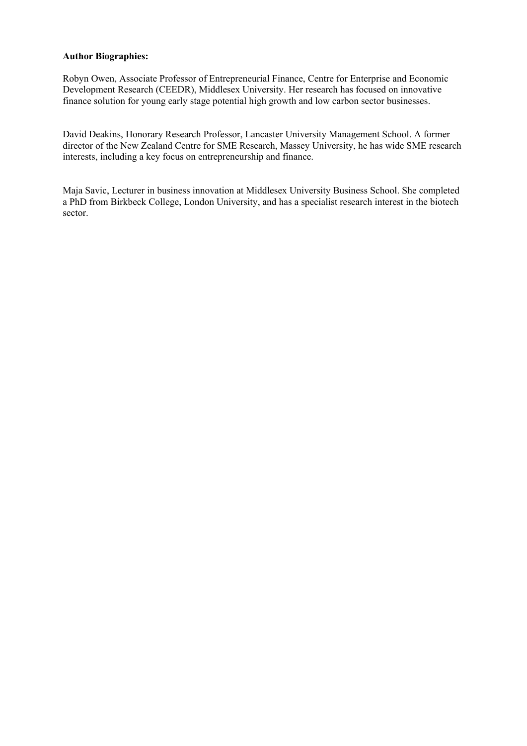### **Author Biographies:**

Robyn Owen, Associate Professor of Entrepreneurial Finance, Centre for Enterprise and Economic Development Research (CEEDR), Middlesex University. Her research has focused on innovative finance solution for young early stage potential high growth and low carbon sector businesses.

David Deakins, Honorary Research Professor, Lancaster University Management School. A former director of the New Zealand Centre for SME Research, Massey University, he has wide SME research interests, including a key focus on entrepreneurship and finance.

Maja Savic, Lecturer in business innovation at Middlesex University Business School. She completed a PhD from Birkbeck College, London University, and has a specialist research interest in the biotech sector.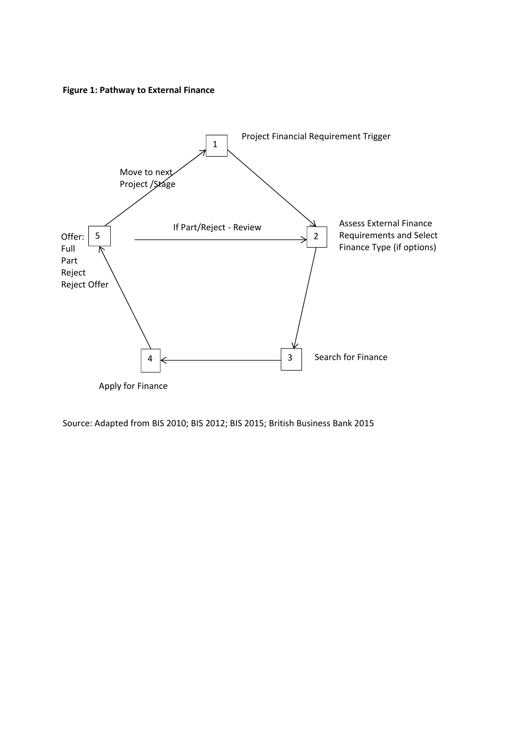**Figure 1: Pathway to External Finance** 



Source: Adapted from BIS 2010; BIS 2012; BIS 2015; British Business Bank 2015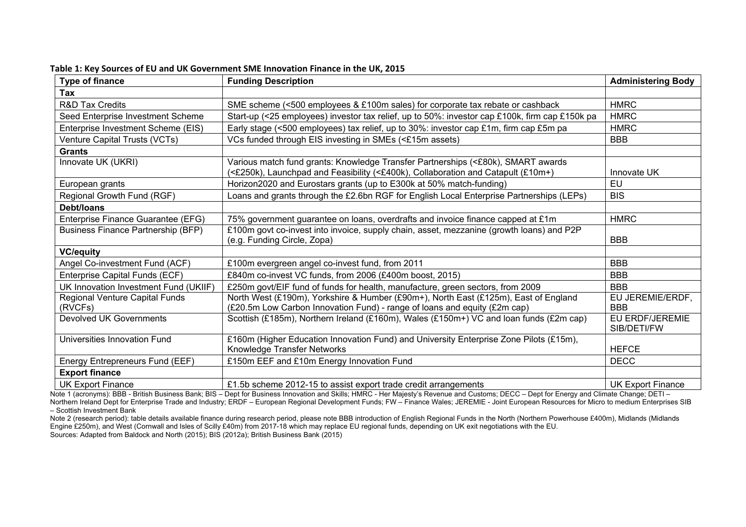| <b>Type of finance</b>                    | <b>Funding Description</b>                                                                                                                                           | <b>Administering Body</b>      |
|-------------------------------------------|----------------------------------------------------------------------------------------------------------------------------------------------------------------------|--------------------------------|
| Tax                                       |                                                                                                                                                                      |                                |
| <b>R&amp;D Tax Credits</b>                | SME scheme (<500 employees & £100m sales) for corporate tax rebate or cashback                                                                                       | <b>HMRC</b>                    |
| Seed Enterprise Investment Scheme         | Start-up (<25 employees) investor tax relief, up to 50%: investor cap £100k, firm cap £150k pa                                                                       | <b>HMRC</b>                    |
| Enterprise Investment Scheme (EIS)        | Early stage (<500 employees) tax relief, up to 30%: investor cap £1m, firm cap £5m pa                                                                                | <b>HMRC</b>                    |
| Venture Capital Trusts (VCTs)             | VCs funded through EIS investing in SMEs (<£15m assets)                                                                                                              | <b>BBB</b>                     |
| <b>Grants</b>                             |                                                                                                                                                                      |                                |
| Innovate UK (UKRI)                        | Various match fund grants: Knowledge Transfer Partnerships (<£80k), SMART awards<br>(<£250k), Launchpad and Feasibility (<£400k), Collaboration and Catapult (£10m+) | Innovate UK                    |
| European grants                           | Horizon2020 and Eurostars grants (up to E300k at 50% match-funding)                                                                                                  | EU                             |
| Regional Growth Fund (RGF)                | Loans and grants through the £2.6bn RGF for English Local Enterprise Partnerships (LEPs)                                                                             | <b>BIS</b>                     |
| Debt/loans                                |                                                                                                                                                                      |                                |
| Enterprise Finance Guarantee (EFG)        | 75% government guarantee on loans, overdrafts and invoice finance capped at £1m                                                                                      | <b>HMRC</b>                    |
| <b>Business Finance Partnership (BFP)</b> | £100m govt co-invest into invoice, supply chain, asset, mezzanine (growth loans) and P2P<br>(e.g. Funding Circle, Zopa)                                              | <b>BBB</b>                     |
| <b>VC/equity</b>                          |                                                                                                                                                                      |                                |
| Angel Co-investment Fund (ACF)            | £100m evergreen angel co-invest fund, from 2011                                                                                                                      | <b>BBB</b>                     |
| Enterprise Capital Funds (ECF)            | £840m co-invest VC funds, from 2006 (£400m boost, 2015)                                                                                                              | <b>BBB</b>                     |
| UK Innovation Investment Fund (UKIIF)     | £250m govt/EIF fund of funds for health, manufacture, green sectors, from 2009                                                                                       | <b>BBB</b>                     |
| Regional Venture Capital Funds<br>(RVCFs) | North West (£190m), Yorkshire & Humber (£90m+), North East (£125m), East of England<br>(£20.5m Low Carbon Innovation Fund) - range of loans and equity (£2m cap)     | EU JEREMIE/ERDF,<br><b>BBB</b> |
| <b>Devolved UK Governments</b>            | Scottish (£185m), Northern Ireland (£160m), Wales (£150m+) VC and loan funds (£2m cap)                                                                               | EU ERDF/JEREMIE<br>SIB/DETI/FW |
| Universities Innovation Fund              | £160m (Higher Education Innovation Fund) and University Enterprise Zone Pilots (£15m),<br>Knowledge Transfer Networks                                                | <b>HEFCE</b>                   |
| Energy Entrepreneurs Fund (EEF)           | £150m EEF and £10m Energy Innovation Fund                                                                                                                            | <b>DECC</b>                    |
| <b>Export finance</b>                     |                                                                                                                                                                      |                                |
| <b>UK Export Finance</b>                  | £1.5b scheme 2012-15 to assist export trade credit arrangements                                                                                                      | <b>UK Export Finance</b>       |

**Table 1: Key Sources of EU and UK Government SME Innovation Finance in the UK, 2015** 

Note 1 (acronyms): BBB - British Business Bank; BIS – Dept for Business Innovation and Skills; HMRC - Her Majesty's Revenue and Customs; DECC – Dept for Energy and Climate Change; DETI – Northern Ireland Dept for Enterprise Trade and Industry; ERDF – European Regional Development Funds; FW – Finance Wales; JEREMIE - Joint European Resources for Micro to medium Enterprises SIB – Scottish Investment Bank

Note 2 (research period): table details available finance during research period, please note BBB introduction of English Regional Funds in the North (Northern Powerhouse £400m), Midlands (Midlands Engine £250m), and West (Cornwall and Isles of Scilly £40m) from 2017-18 which may replace EU regional funds, depending on UK exit negotiations with the EU. Sources: Adapted from Baldock and North (2015); BIS (2012a); British Business Bank (2015)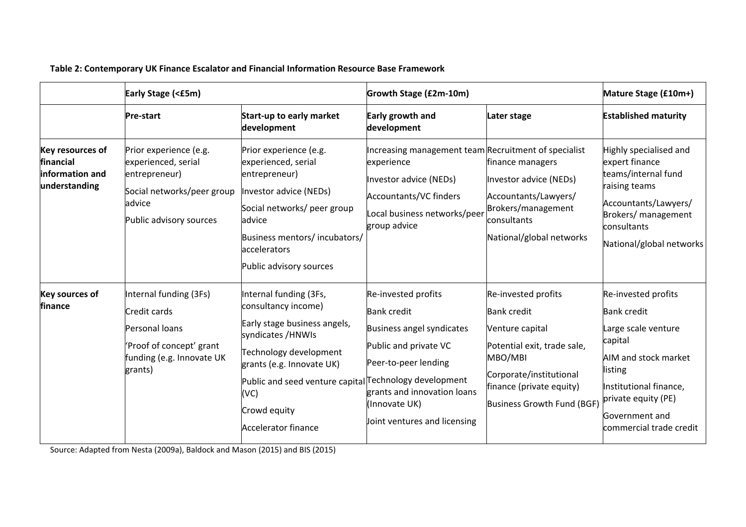|                                                                          | Early Stage (<£5m)                                                                                                                |                                                                                                                                                                                                                                                                           | Growth Stage (£2m-10m)                                                                                                                                                                                  | Mature Stage (£10m+)                                                                                                                                                                        |                                                                                                                                                                                                              |
|--------------------------------------------------------------------------|-----------------------------------------------------------------------------------------------------------------------------------|---------------------------------------------------------------------------------------------------------------------------------------------------------------------------------------------------------------------------------------------------------------------------|---------------------------------------------------------------------------------------------------------------------------------------------------------------------------------------------------------|---------------------------------------------------------------------------------------------------------------------------------------------------------------------------------------------|--------------------------------------------------------------------------------------------------------------------------------------------------------------------------------------------------------------|
|                                                                          | <b>Pre-start</b>                                                                                                                  | <b>Start-up to early market</b><br>development                                                                                                                                                                                                                            | Early growth and<br>development                                                                                                                                                                         | Later stage                                                                                                                                                                                 | <b>Established maturity</b>                                                                                                                                                                                  |
| <b>Key resources of</b><br>financial<br>information and<br>understanding | Prior experience (e.g.<br>experienced, serial<br>entrepreneur)<br>Social networks/peer group<br>advice<br>Public advisory sources | Prior experience (e.g.<br>experienced, serial<br>entrepreneur)<br>Investor advice (NEDs)<br>Social networks/ peer group<br>advice<br>Business mentors/ incubators/<br>accelerators<br>Public advisory sources                                                             | Increasing management team Recruitment of specialist<br>experience<br>Investor advice (NEDs)<br><b>Accountants/VC finders</b><br>Local business networks/peer<br>group advice                           | finance managers<br>Investor advice (NEDs)<br>Accountants/Lawyers/<br>Brokers/management<br>consultants<br>National/global networks                                                         | Highly specialised and<br>expert finance<br>teams/internal fund<br>raising teams<br>Accountants/Lawyers/<br>Brokers/ management<br>consultants<br>National/global networks                                   |
| <b>Key sources of</b><br>finance                                         | Internal funding (3Fs)<br>Credit cards<br>Personal loans<br>'Proof of concept' grant<br>funding (e.g. Innovate UK<br>grants)      | Internal funding (3Fs,<br>consultancy income)<br>Early stage business angels,<br>syndicates /HNWIs<br>Technology development<br>grants (e.g. Innovate UK)<br>Public and seed venture capital Technology development<br>(VC)<br>Crowd equity<br><b>Accelerator finance</b> | Re-invested profits<br><b>Bank credit</b><br>Business angel syndicates<br>Public and private VC<br>Peer-to-peer lending<br>grants and innovation loans<br>(Innovate UK)<br>Joint ventures and licensing | Re-invested profits<br><b>Bank credit</b><br>Venture capital<br>Potential exit, trade sale,<br>MBO/MBI<br>Corporate/institutional<br>finance (private equity)<br>Business Growth Fund (BGF) | Re-invested profits<br><b>Bank credit</b><br>Large scale venture<br>capital<br>AIM and stock market<br>listing<br>Institutional finance,<br>private equity (PE)<br>Government and<br>commercial trade credit |

**Table 2: Contemporary UK Finance Escalator and Financial Information Resource Base Framework** 

Source: Adapted from Nesta (2009a), Baldock and Mason (2015) and BIS (2015)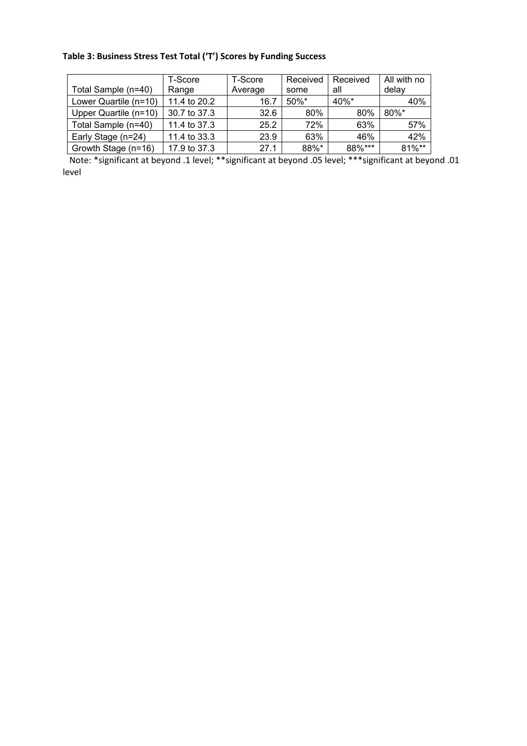# **Table 3: Business Stress Test Total ('T') Scores by Funding Success**

|                       | T-Score      | T-Score | Received | Received | All with no |
|-----------------------|--------------|---------|----------|----------|-------------|
| Total Sample (n=40)   | Range        | Average | some     | all      | delav       |
| Lower Quartile (n=10) | 11.4 to 20.2 | 16.7    | $50\%$ * | $40%$ *  | 40%         |
| Upper Quartile (n=10) | 30.7 to 37.3 | 32.6    | 80%      | 80%      | $80\%$ *    |
| Total Sample (n=40)   | 11.4 to 37.3 | 25.2    | 72%      | 63%      | 57%         |
| Early Stage (n=24)    | 11.4 to 33.3 | 23.9    | 63%      | 46%      | 42%         |
| Growth Stage (n=16)   | 17.9 to 37.3 | 27.1    | 88%*     | 88%***   | 81%**       |

 Note: \*significant at beyond .1 level; \*\*significant at beyond .05 level; \*\*\*significant at beyond .01 level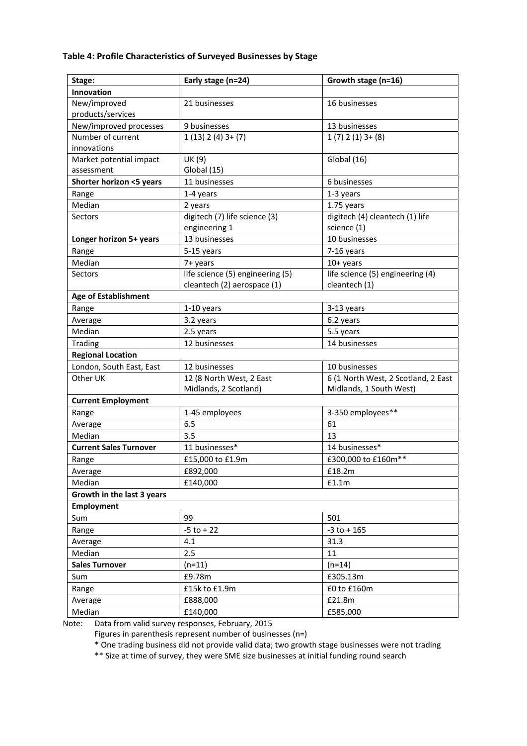## **Table 4: Profile Characteristics of Surveyed Businesses by Stage**

| Stage:                        | Early stage (n=24)<br>Growth stage (n=16) |                                     |  |  |
|-------------------------------|-------------------------------------------|-------------------------------------|--|--|
| Innovation                    |                                           |                                     |  |  |
| New/improved                  | 21 businesses                             | 16 businesses                       |  |  |
| products/services             |                                           |                                     |  |  |
| New/improved processes        | 9 businesses                              | 13 businesses                       |  |  |
| Number of current             | $1(13)$ $2(4)$ $3+ (7)$                   | $1(7)$ $2(1)$ $3+ (8)$              |  |  |
| innovations                   |                                           |                                     |  |  |
| Market potential impact       | UK (9)                                    | Global (16)                         |  |  |
| assessment                    | Global (15)                               |                                     |  |  |
| Shorter horizon <5 years      | 11 businesses                             | 6 businesses                        |  |  |
| Range                         | 1-4 years                                 | 1-3 years                           |  |  |
| Median                        | 2 years                                   | 1.75 years                          |  |  |
| Sectors                       | digitech (7) life science (3)             | digitech (4) cleantech (1) life     |  |  |
|                               | engineering 1                             | science (1)                         |  |  |
| Longer horizon 5+ years       | 13 businesses                             | 10 businesses                       |  |  |
| Range                         | 5-15 years                                | 7-16 years                          |  |  |
| Median                        | 7+ years                                  | $10+$ years                         |  |  |
| Sectors                       | life science (5) engineering (5)          | life science (5) engineering (4)    |  |  |
|                               | cleantech (2) aerospace (1)               | cleantech (1)                       |  |  |
| <b>Age of Establishment</b>   |                                           |                                     |  |  |
| Range                         | $1-10$ years                              | 3-13 years                          |  |  |
| Average                       | 3.2 years                                 | 6.2 years                           |  |  |
| Median                        | 2.5 years                                 | 5.5 years                           |  |  |
| Trading                       | 12 businesses                             | 14 businesses                       |  |  |
| <b>Regional Location</b>      |                                           |                                     |  |  |
| London, South East, East      | 12 businesses                             | 10 businesses                       |  |  |
| Other UK                      | 12 (8 North West, 2 East                  | 6 (1 North West, 2 Scotland, 2 East |  |  |
|                               | Midlands, 2 Scotland)                     | Midlands, 1 South West)             |  |  |
| <b>Current Employment</b>     |                                           |                                     |  |  |
| Range                         | 1-45 employees                            | 3-350 employees**                   |  |  |
| Average                       | 6.5                                       | 61                                  |  |  |
| Median                        | 3.5                                       | 13                                  |  |  |
| <b>Current Sales Turnover</b> | 11 businesses*                            | 14 businesses*                      |  |  |
| Range                         | £15,000 to £1.9m                          | £300,000 to £160m**                 |  |  |
| Average                       | £892,000                                  | £18.2m                              |  |  |
| Median                        | £140,000                                  | £1.1m                               |  |  |
| Growth in the last 3 years    |                                           |                                     |  |  |
| <b>Employment</b>             |                                           |                                     |  |  |
| Sum                           | 99                                        | 501                                 |  |  |
| Range                         | $-5$ to $+22$                             | $-3$ to $+165$                      |  |  |
| Average                       | 4.1                                       | 31.3                                |  |  |
| Median                        | 2.5                                       | 11                                  |  |  |
| <b>Sales Turnover</b>         | $(n=11)$                                  | $(n=14)$                            |  |  |
| Sum                           | £9.78m                                    | £305.13m                            |  |  |
| Range                         | £15k to £1.9m                             | £0 to £160m                         |  |  |
| Average                       | £888,000                                  | £21.8m                              |  |  |
| Median                        | £140,000                                  | £585,000                            |  |  |

Note: Data from valid survey responses, February, 2015

Figures in parenthesis represent number of businesses (n=)

\* One trading business did not provide valid data; two growth stage businesses were not trading

\*\* Size at time of survey, they were SME size businesses at initial funding round search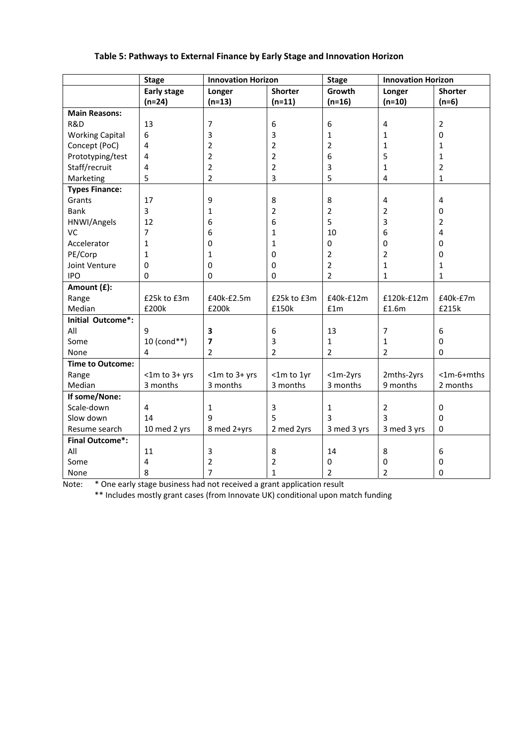## **Table 5: Pathways to External Finance by Early Stage and Innovation Horizon**

|                         | <b>Stage</b>            | <b>Innovation Horizon</b> |                         | <b>Stage</b>                                                                                 | <b>Innovation Horizon</b> |                         |
|-------------------------|-------------------------|---------------------------|-------------------------|----------------------------------------------------------------------------------------------|---------------------------|-------------------------|
|                         | <b>Early stage</b>      | Longer                    | <b>Shorter</b>          | Growth                                                                                       | Longer                    | <b>Shorter</b>          |
|                         | $(n=24)$                | $(n=13)$                  | $(n=11)$                | $(n=16)$                                                                                     | $(n=10)$                  | $(n=6)$                 |
| <b>Main Reasons:</b>    |                         |                           |                         |                                                                                              |                           |                         |
| R&D                     | 13                      | $\overline{7}$            | 6                       | 6                                                                                            | 4                         | $\overline{2}$          |
| <b>Working Capital</b>  | 6                       | 3                         | 3                       | 1                                                                                            | 1                         | 0                       |
| Concept (PoC)           | 4                       | $\overline{2}$            | $\overline{\mathbf{c}}$ | $\overline{2}$                                                                               | 1                         | $\mathbf{1}$            |
| Prototyping/test        | 4                       | $\overline{2}$            | $\overline{2}$          | 6                                                                                            | 5                         | $\mathbf{1}$            |
| Staff/recruit           | 4                       | $\overline{2}$            | $\overline{2}$          | 3                                                                                            | 1                         | $\overline{2}$          |
| Marketing               | 5                       | $\overline{2}$            | 3                       | 5                                                                                            | 4                         | $\mathbf{1}$            |
| <b>Types Finance:</b>   |                         |                           |                         |                                                                                              |                           |                         |
| Grants                  | 17                      | 9                         | 8                       | 8                                                                                            | $\overline{\mathbf{4}}$   | $\overline{\mathbf{4}}$ |
| Bank                    | 3                       | 1                         | $\overline{2}$          | $\overline{2}$                                                                               | 2                         | 0                       |
| HNWI/Angels             | 12                      | 6                         | 6                       | 5                                                                                            | 3                         | $\overline{2}$          |
| VC                      | $\overline{7}$          | 6                         | 1                       | 10                                                                                           | 6                         | $\overline{4}$          |
| Accelerator             | 1                       | 0                         | 1                       | 0                                                                                            | $\pmb{0}$                 | 0                       |
| PE/Corp                 | $\mathbf{1}$            | 1                         | $\mathbf 0$             | $\mathbf 2$                                                                                  | 2                         | $\pmb{0}$               |
| Joint Venture           | 0                       | 0                         | 0                       | $\overline{2}$                                                                               | $\mathbf{1}$              | 1                       |
| <b>IPO</b>              | $\pmb{0}$               | $\pmb{0}$                 | 0                       | $\overline{2}$                                                                               | 1                         | $\mathbf{1}$            |
| Amount (£):             |                         |                           |                         |                                                                                              |                           |                         |
| Range                   | £25k to £3m             | £40k-£2.5m                | £25k to £3m             | £40k-£12m                                                                                    | £120k-£12m                | £40k-£7m                |
| Median                  | £200k                   | £200k                     | £150k                   | $\ensuremath{\mathsf{f}}\xspace\ensuremath{\mathsf{1}}\xspace\ensuremath{\mathsf{m}}\xspace$ | £1.6m                     | £215k                   |
| Initial Outcome*:       |                         |                           |                         |                                                                                              |                           |                         |
| All                     | 9                       | 3                         | 6                       | 13                                                                                           | $\overline{7}$            | $\boldsymbol{6}$        |
| Some                    | 10 (cond**)             | $\overline{\mathbf{z}}$   | 3                       | $\mathbf{1}$                                                                                 | 1                         | $\mathbf 0$             |
| None                    | $\overline{4}$          | $\overline{2}$            | $\overline{2}$          | $\overline{2}$                                                                               | $\overline{2}$            | $\mathbf 0$             |
| <b>Time to Outcome:</b> |                         |                           |                         |                                                                                              |                           |                         |
| Range                   | <1m to 3+ yrs           | $<$ 1m to 3+ yrs          | <1m to 1yr              | $<$ 1m-2yrs                                                                                  | 2mths-2yrs                | $<$ 1m-6+mths           |
| Median                  | 3 months                | 3 months                  | 3 months                | 3 months                                                                                     | 9 months                  | 2 months                |
| If some/None:           |                         |                           |                         |                                                                                              |                           |                         |
| Scale-down              | $\overline{\mathbf{4}}$ | $\mathbf{1}$              | 3                       | $\mathbf{1}$                                                                                 | $\overline{2}$            | 0                       |
| Slow down               | 14                      | 9                         | 5                       | 3                                                                                            | 3                         | $\mathbf 0$             |
| Resume search           | 10 med 2 yrs            | 8 med 2+yrs               | 2 med 2yrs              | 3 med 3 yrs                                                                                  | 3 med 3 yrs               | 0                       |
| <b>Final Outcome*:</b>  |                         |                           |                         |                                                                                              |                           |                         |
| All                     | 11                      | 3                         | 8                       | 14                                                                                           | 8                         | 6                       |
| Some                    | 4                       | $\overline{2}$            | $\overline{2}$          | 0                                                                                            | 0                         | $\mathbf 0$             |
| None                    | 8                       | $\overline{7}$            | $\mathbf{1}$            | $\overline{2}$                                                                               | $\overline{2}$            | $\mathbf 0$             |

Note: \* One early stage business had not received a grant application result

\*\* Includes mostly grant cases (from Innovate UK) conditional upon match funding